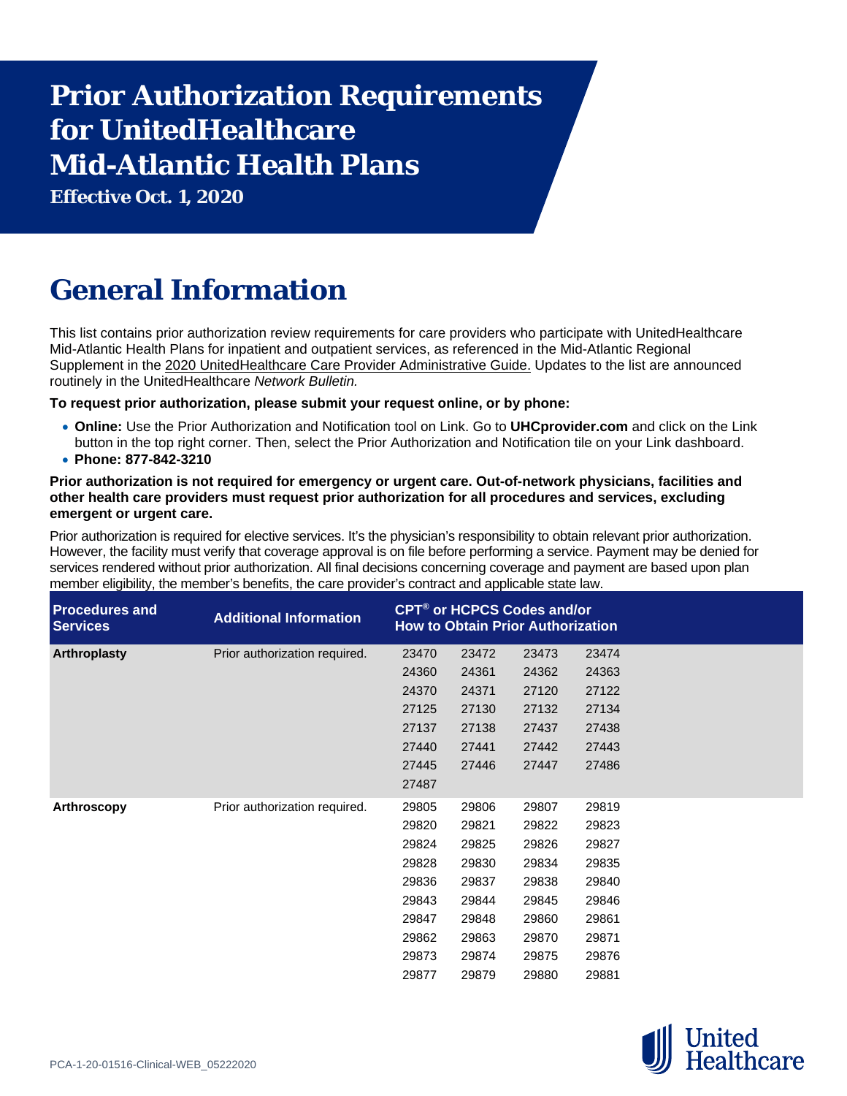# **Prior Authorization Requirements for UnitedHealthcare Mid-Atlantic Health Plans**

**Effective Oct. 1, 2020**

# **General Information**

This list contains prior authorization review requirements for care providers who participate with UnitedHealthcare Mid-Atlantic Health Plans for inpatient and outpatient services, as referenced in the Mid-Atlantic Regional Supplement in the [2020 UnitedHealthcare Care Provider Administrative Guide.](https://www.uhcprovider.com/en/admin-guides/administrative-guides-manuals-2020.html) Updates to the list are announced routinely in the UnitedHealthcare *Network Bulletin.*

**To request prior authorization, please submit your request online, or by phone:**

- **Online:** Use the Prior Authorization and Notification tool on Link. Go to **UHCprovider.com** and click on the Link button in the top right corner. Then, select the Prior Authorization and Notification tile on your Link dashboard.
- **Phone: 877-842-3210**

## **Prior authorization is not required for emergency or urgent care. Out-of-network physicians, facilities and other health care providers must request prior authorization for all procedures and services, excluding emergent or urgent care.**

Prior authorization is required for elective services. It's the physician's responsibility to obtain relevant prior authorization. However, the facility must verify that coverage approval is on file before performing a service. Payment may be denied for services rendered without prior authorization. All final decisions concerning coverage and payment are based upon plan member eligibility, the member's benefits, the care provider's contract and applicable state law.

| <b>Procedures and</b><br><b>Services</b> | <b>Additional Information</b> |       |       | CPT <sup>®</sup> or HCPCS Codes and/or<br><b>How to Obtain Prior Authorization</b> |       |
|------------------------------------------|-------------------------------|-------|-------|------------------------------------------------------------------------------------|-------|
| Arthroplasty                             | Prior authorization required. | 23470 | 23472 | 23473                                                                              | 23474 |
|                                          |                               | 24360 | 24361 | 24362                                                                              | 24363 |
|                                          |                               | 24370 | 24371 | 27120                                                                              | 27122 |
|                                          |                               | 27125 | 27130 | 27132                                                                              | 27134 |
|                                          |                               | 27137 | 27138 | 27437                                                                              | 27438 |
|                                          |                               | 27440 | 27441 | 27442                                                                              | 27443 |
|                                          |                               | 27445 | 27446 | 27447                                                                              | 27486 |
|                                          |                               | 27487 |       |                                                                                    |       |
| Arthroscopy                              | Prior authorization required. | 29805 | 29806 | 29807                                                                              | 29819 |
|                                          |                               | 29820 | 29821 | 29822                                                                              | 29823 |
|                                          |                               | 29824 | 29825 | 29826                                                                              | 29827 |
|                                          |                               | 29828 | 29830 | 29834                                                                              | 29835 |
|                                          |                               | 29836 | 29837 | 29838                                                                              | 29840 |
|                                          |                               | 29843 | 29844 | 29845                                                                              | 29846 |
|                                          |                               | 29847 | 29848 | 29860                                                                              | 29861 |
|                                          |                               | 29862 | 29863 | 29870                                                                              | 29871 |
|                                          |                               | 29873 | 29874 | 29875                                                                              | 29876 |
|                                          |                               | 29877 | 29879 | 29880                                                                              | 29881 |

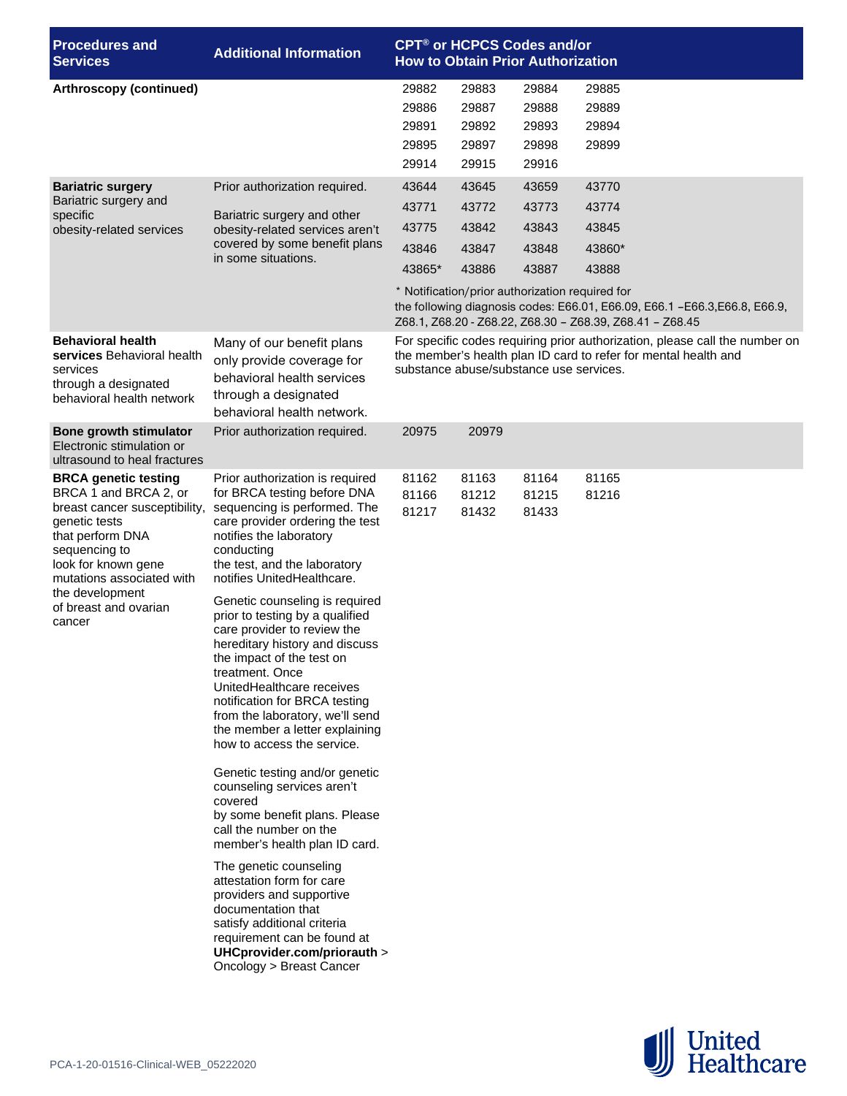| <b>Procedures and</b><br><b>Services</b>                                                                                                                                                                                                              | <b>Additional Information</b>                                                                                                                                                                                                                                                                                                                                                                                                                                                                                                                                                                                                                                                                                                                                                                                                                                                                                                                                                                            | <b>CPT<sup>®</sup> or HCPCS Codes and/or</b><br><b>How to Obtain Prior Authorization</b>                                                                                                  |                                                                                              |                                           |                                                                                                                                                                                       |  |  |  |
|-------------------------------------------------------------------------------------------------------------------------------------------------------------------------------------------------------------------------------------------------------|----------------------------------------------------------------------------------------------------------------------------------------------------------------------------------------------------------------------------------------------------------------------------------------------------------------------------------------------------------------------------------------------------------------------------------------------------------------------------------------------------------------------------------------------------------------------------------------------------------------------------------------------------------------------------------------------------------------------------------------------------------------------------------------------------------------------------------------------------------------------------------------------------------------------------------------------------------------------------------------------------------|-------------------------------------------------------------------------------------------------------------------------------------------------------------------------------------------|----------------------------------------------------------------------------------------------|-------------------------------------------|---------------------------------------------------------------------------------------------------------------------------------------------------------------------------------------|--|--|--|
| Arthroscopy (continued)                                                                                                                                                                                                                               |                                                                                                                                                                                                                                                                                                                                                                                                                                                                                                                                                                                                                                                                                                                                                                                                                                                                                                                                                                                                          | 29882<br>29886<br>29891<br>29895<br>29914                                                                                                                                                 | 29883<br>29887<br>29892<br>29897<br>29915                                                    | 29884<br>29888<br>29893<br>29898<br>29916 | 29885<br>29889<br>29894<br>29899                                                                                                                                                      |  |  |  |
| <b>Bariatric surgery</b><br>Bariatric surgery and<br>specific<br>obesity-related services                                                                                                                                                             | Prior authorization required.<br>Bariatric surgery and other<br>obesity-related services aren't<br>covered by some benefit plans<br>in some situations.                                                                                                                                                                                                                                                                                                                                                                                                                                                                                                                                                                                                                                                                                                                                                                                                                                                  | 43644<br>43771<br>43775<br>43846<br>43865*                                                                                                                                                | 43645<br>43772<br>43842<br>43847<br>43886<br>* Notification/prior authorization required for | 43659<br>43773<br>43843<br>43848<br>43887 | 43770<br>43774<br>43845<br>43860*<br>43888<br>the following diagnosis codes: E66.01, E66.09, E66.1 - E66.3, E66.8, E66.9,<br>Z68.1, Z68.20 - Z68.22, Z68.30 - Z68.39, Z68.41 - Z68.45 |  |  |  |
| <b>Behavioral health</b><br>services Behavioral health<br>services<br>through a designated<br>behavioral health network                                                                                                                               | Many of our benefit plans<br>only provide coverage for<br>behavioral health services<br>through a designated<br>behavioral health network.                                                                                                                                                                                                                                                                                                                                                                                                                                                                                                                                                                                                                                                                                                                                                                                                                                                               | For specific codes requiring prior authorization, please call the number on<br>the member's health plan ID card to refer for mental health and<br>substance abuse/substance use services. |                                                                                              |                                           |                                                                                                                                                                                       |  |  |  |
| Bone growth stimulator<br>Electronic stimulation or<br>ultrasound to heal fractures                                                                                                                                                                   | Prior authorization required.                                                                                                                                                                                                                                                                                                                                                                                                                                                                                                                                                                                                                                                                                                                                                                                                                                                                                                                                                                            | 20975                                                                                                                                                                                     | 20979                                                                                        |                                           |                                                                                                                                                                                       |  |  |  |
| <b>BRCA genetic testing</b><br>BRCA 1 and BRCA 2, or<br>breast cancer susceptibility,<br>genetic tests<br>that perform DNA<br>sequencing to<br>look for known gene<br>mutations associated with<br>the development<br>of breast and ovarian<br>cancer | Prior authorization is required<br>for BRCA testing before DNA<br>sequencing is performed. The<br>care provider ordering the test<br>notifies the laboratory<br>conducting<br>the test, and the laboratory<br>notifies UnitedHealthcare.<br>Genetic counseling is required<br>prior to testing by a qualified<br>care provider to review the<br>hereditary history and discuss<br>the impact of the test on<br>treatment. Once<br>UnitedHealthcare receives<br>notification for BRCA testing<br>from the laboratory, we'll send<br>the member a letter explaining<br>how to access the service.<br>Genetic testing and/or genetic<br>counseling services aren't<br>covered<br>by some benefit plans. Please<br>call the number on the<br>member's health plan ID card.<br>The genetic counseling<br>attestation form for care<br>providers and supportive<br>documentation that<br>satisfy additional criteria<br>requirement can be found at<br>UHCprovider.com/priorauth ><br>Oncology > Breast Cancer | 81162<br>81166<br>81217                                                                                                                                                                   | 81163<br>81212<br>81432                                                                      | 81164<br>81215<br>81433                   | 81165<br>81216                                                                                                                                                                        |  |  |  |

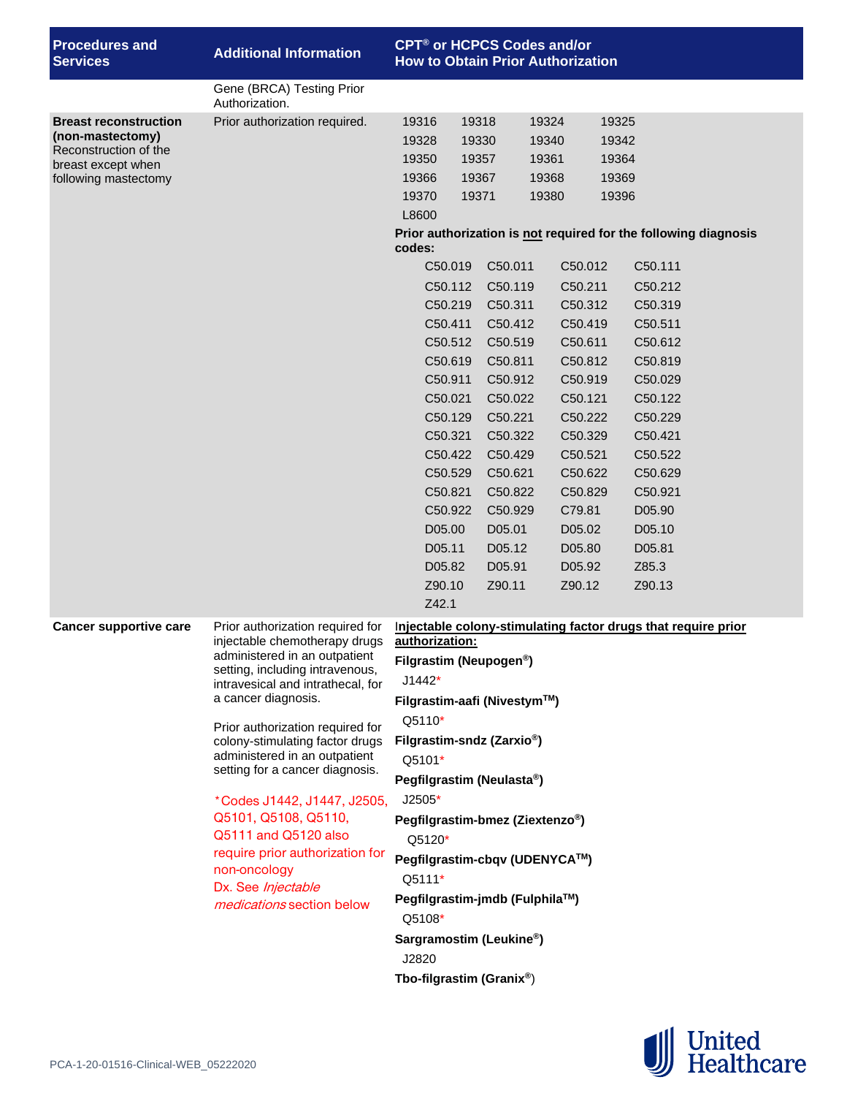| <b>Procedures and</b><br><b>Services</b>                                                                                | <b>Additional Information</b>                                                                                                                                                                                                                                                                                                                                                                                                                                                                                                     |                                                                                                                                                                                                         |                                                                                                                                                                                                                                                                                    | <b>CPT<sup>®</sup> or HCPCS Codes and/or</b><br><b>How to Obtain Prior Authorization</b>                                                                                                      |                                                                                                                                                                                              |  |  |
|-------------------------------------------------------------------------------------------------------------------------|-----------------------------------------------------------------------------------------------------------------------------------------------------------------------------------------------------------------------------------------------------------------------------------------------------------------------------------------------------------------------------------------------------------------------------------------------------------------------------------------------------------------------------------|---------------------------------------------------------------------------------------------------------------------------------------------------------------------------------------------------------|------------------------------------------------------------------------------------------------------------------------------------------------------------------------------------------------------------------------------------------------------------------------------------|-----------------------------------------------------------------------------------------------------------------------------------------------------------------------------------------------|----------------------------------------------------------------------------------------------------------------------------------------------------------------------------------------------|--|--|
|                                                                                                                         | Gene (BRCA) Testing Prior<br>Authorization.                                                                                                                                                                                                                                                                                                                                                                                                                                                                                       |                                                                                                                                                                                                         |                                                                                                                                                                                                                                                                                    |                                                                                                                                                                                               |                                                                                                                                                                                              |  |  |
| <b>Breast reconstruction</b><br>(non-mastectomy)<br>Reconstruction of the<br>breast except when<br>following mastectomy | Prior authorization required.                                                                                                                                                                                                                                                                                                                                                                                                                                                                                                     | 19316<br>19328<br>19350<br>19366<br>19370<br>L8600<br>codes:                                                                                                                                            | 19318<br>19330<br>19357<br>19367<br>19371                                                                                                                                                                                                                                          | 19324<br>19340<br>19361<br>19368<br>19380                                                                                                                                                     | 19325<br>19342<br>19364<br>19369<br>19396<br>Prior authorization is not required for the following diagnosis                                                                                 |  |  |
|                                                                                                                         |                                                                                                                                                                                                                                                                                                                                                                                                                                                                                                                                   | C50.019<br>C50.112<br>C50.219<br>C50.411<br>C50.512<br>C50.619<br>C50.911<br>C50.021<br>C50.129<br>C50.321<br>C50.422<br>C50.529<br>C50.821<br>C50.922<br>D05.00<br>D05.11<br>D05.82<br>Z90.10<br>Z42.1 | C50.011<br>C50.119<br>C50.311<br>C50.412<br>C50.519<br>C50.811<br>C50.912<br>C50.022<br>C50.221<br>C50.322<br>C50.429<br>C50.621<br>C50.822<br>C50.929<br>D05.01<br>D05.12<br>D05.91<br>Z90.11                                                                                     | C50.012<br>C50.211<br>C50.312<br>C50.419<br>C50.611<br>C50.812<br>C50.919<br>C50.121<br>C50.222<br>C50.329<br>C50.521<br>C50.622<br>C50.829<br>C79.81<br>D05.02<br>D05.80<br>D05.92<br>Z90.12 | C50.111<br>C50.212<br>C50.319<br>C50.511<br>C50.612<br>C50.819<br>C50.029<br>C50.122<br>C50.229<br>C50.421<br>C50.522<br>C50.629<br>C50.921<br>D05.90<br>D05.10<br>D05.81<br>Z85.3<br>Z90.13 |  |  |
| <b>Cancer supportive care</b>                                                                                           | Prior authorization required for<br>injectable chemotherapy drugs<br>administered in an outpatient<br>setting, including intravenous,<br>intravesical and intrathecal, for<br>a cancer diagnosis.<br>Prior authorization required for<br>colony-stimulating factor drugs<br>administered in an outpatient<br>setting for a cancer diagnosis.<br>*Codes J1442, J1447, J2505,<br>Q5101, Q5108, Q5110,<br>Q5111 and Q5120 also<br>require prior authorization for<br>non-oncology<br>Dx. See Injectable<br>medications section below | authorization:<br>$J1442*$<br>Q5110*<br>Q5101*<br>$J2505*$<br>Q5120*<br>Q5111*<br>Q5108*<br>J2820                                                                                                       | Filgrastim (Neupogen <sup>®</sup> )<br>Filgrastim-aafi (Nivestym™)<br>Filgrastim-sndz (Zarxio <sup>®</sup> )<br>Pegfilgrastim (Neulasta®)<br>Pegfilgrastim-bmez (Ziextenzo®)<br>Pegfilgrastim-jmdb (Fulphila™)<br>Sargramostim (Leukine <sup>®</sup> )<br>Tbo-filgrastim (Granix®) | Pegfilgrastim-cbqv (UDENYCA™)                                                                                                                                                                 | Injectable colony-stimulating factor drugs that require prior                                                                                                                                |  |  |

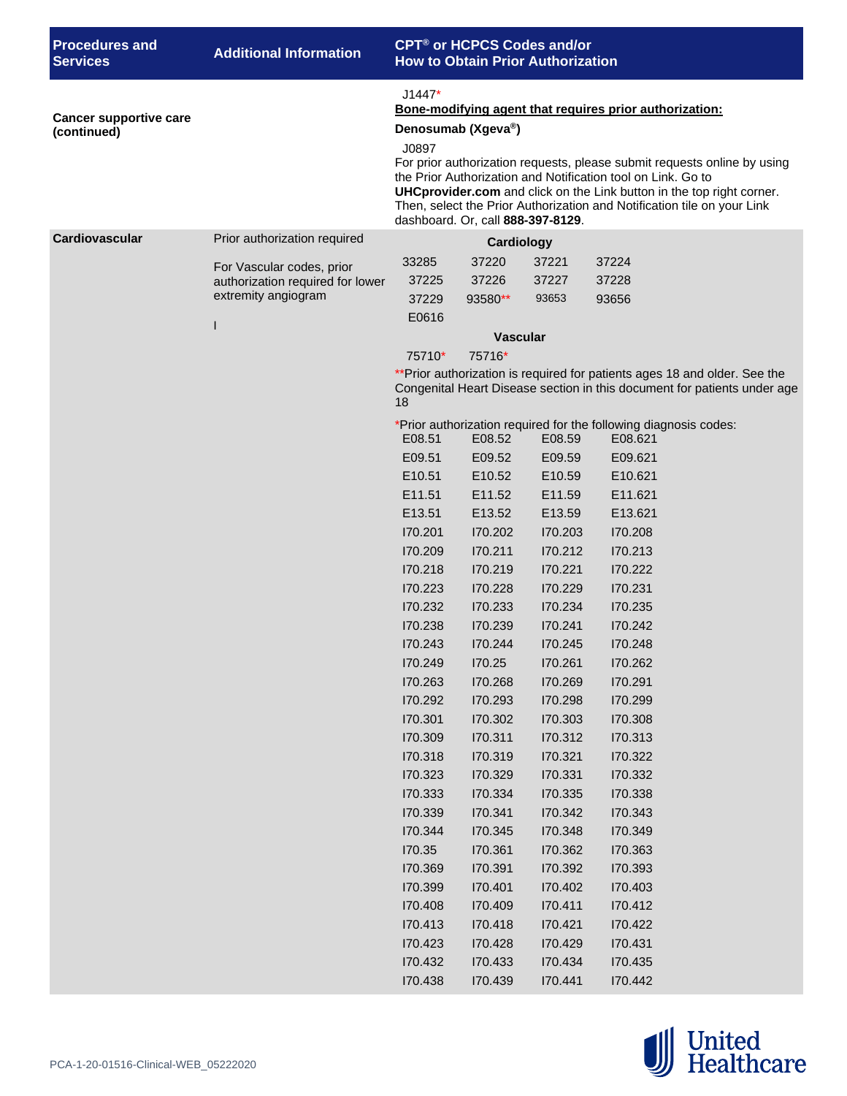| <b>Procedures and</b><br><b>Services</b>     | <b>Additional Information</b>    | <b>CPT<sup>®</sup> or HCPCS Codes and/or</b><br><b>How to Obtain Prior Authorization</b>                                                                                                                                                                                                                                                                                                                                                |                    |                    |                                                                                                                                                        |  |  |
|----------------------------------------------|----------------------------------|-----------------------------------------------------------------------------------------------------------------------------------------------------------------------------------------------------------------------------------------------------------------------------------------------------------------------------------------------------------------------------------------------------------------------------------------|--------------------|--------------------|--------------------------------------------------------------------------------------------------------------------------------------------------------|--|--|
| <b>Cancer supportive care</b><br>(continued) |                                  | $J1447*$<br>Bone-modifying agent that requires prior authorization:<br>Denosumab (Xgeva®)<br>J0897<br>For prior authorization requests, please submit requests online by using<br>the Prior Authorization and Notification tool on Link. Go to<br>UHCprovider.com and click on the Link button in the top right corner.<br>Then, select the Prior Authorization and Notification tile on your Link<br>dashboard. Or, call 888-397-8129. |                    |                    |                                                                                                                                                        |  |  |
| Cardiovascular                               | Prior authorization required     |                                                                                                                                                                                                                                                                                                                                                                                                                                         | <b>Cardiology</b>  |                    |                                                                                                                                                        |  |  |
|                                              | For Vascular codes, prior        | 33285                                                                                                                                                                                                                                                                                                                                                                                                                                   | 37220              | 37221              | 37224                                                                                                                                                  |  |  |
|                                              | authorization required for lower | 37225                                                                                                                                                                                                                                                                                                                                                                                                                                   | 37226              | 37227              | 37228                                                                                                                                                  |  |  |
|                                              | extremity angiogram              | 37229                                                                                                                                                                                                                                                                                                                                                                                                                                   | 93580**            | 93653              | 93656                                                                                                                                                  |  |  |
|                                              | $\mathbf{I}$                     | E0616                                                                                                                                                                                                                                                                                                                                                                                                                                   |                    |                    |                                                                                                                                                        |  |  |
|                                              |                                  |                                                                                                                                                                                                                                                                                                                                                                                                                                         | <b>Vascular</b>    |                    |                                                                                                                                                        |  |  |
|                                              |                                  | 75710*                                                                                                                                                                                                                                                                                                                                                                                                                                  | 75716*             |                    |                                                                                                                                                        |  |  |
|                                              |                                  | 18                                                                                                                                                                                                                                                                                                                                                                                                                                      |                    |                    | ** Prior authorization is required for patients ages 18 and older. See the<br>Congenital Heart Disease section in this document for patients under age |  |  |
|                                              |                                  |                                                                                                                                                                                                                                                                                                                                                                                                                                         |                    |                    | *Prior authorization required for the following diagnosis codes:                                                                                       |  |  |
|                                              |                                  | E08.51                                                                                                                                                                                                                                                                                                                                                                                                                                  | E08.52             | E08.59             | E08.621                                                                                                                                                |  |  |
|                                              |                                  | E09.51                                                                                                                                                                                                                                                                                                                                                                                                                                  | E09.52             | E09.59             | E09.621                                                                                                                                                |  |  |
|                                              |                                  | E10.51                                                                                                                                                                                                                                                                                                                                                                                                                                  | E10.52             | E10.59             | E10.621                                                                                                                                                |  |  |
|                                              |                                  | E11.51<br>E13.51                                                                                                                                                                                                                                                                                                                                                                                                                        | E11.52<br>E13.52   | E11.59<br>E13.59   | E11.621                                                                                                                                                |  |  |
|                                              |                                  | 170.201                                                                                                                                                                                                                                                                                                                                                                                                                                 | 170.202            | 170.203            | E13.621<br>170.208                                                                                                                                     |  |  |
|                                              |                                  | 170.209                                                                                                                                                                                                                                                                                                                                                                                                                                 | 170.211            | 170.212            | 170.213                                                                                                                                                |  |  |
|                                              |                                  | 170.218                                                                                                                                                                                                                                                                                                                                                                                                                                 | 170.219            | 170.221            | 170.222                                                                                                                                                |  |  |
|                                              |                                  | 170.223                                                                                                                                                                                                                                                                                                                                                                                                                                 | 170.228            | 170.229            | 170.231                                                                                                                                                |  |  |
|                                              |                                  | 170.232                                                                                                                                                                                                                                                                                                                                                                                                                                 | 170.233            | 170.234            | 170.235                                                                                                                                                |  |  |
|                                              |                                  | 170.238                                                                                                                                                                                                                                                                                                                                                                                                                                 | 170.239            | 170.241            | 170.242                                                                                                                                                |  |  |
|                                              |                                  | 170.243                                                                                                                                                                                                                                                                                                                                                                                                                                 | 170.244            | 170.245            | 170.248                                                                                                                                                |  |  |
|                                              |                                  | 170.249                                                                                                                                                                                                                                                                                                                                                                                                                                 | 170.25             | 170.261            | 170.262                                                                                                                                                |  |  |
|                                              |                                  | 170.263                                                                                                                                                                                                                                                                                                                                                                                                                                 | 170.268            | 170.269            | 170.291                                                                                                                                                |  |  |
|                                              |                                  | 170.292                                                                                                                                                                                                                                                                                                                                                                                                                                 | 170.293            | 170.298            | 170.299                                                                                                                                                |  |  |
|                                              |                                  | 170.301                                                                                                                                                                                                                                                                                                                                                                                                                                 | 170.302            | 170.303            | 170.308                                                                                                                                                |  |  |
|                                              |                                  | 170.309                                                                                                                                                                                                                                                                                                                                                                                                                                 | 170.311            | 170.312            | 170.313                                                                                                                                                |  |  |
|                                              |                                  | 170.318                                                                                                                                                                                                                                                                                                                                                                                                                                 | 170.319            | 170.321            | 170.322                                                                                                                                                |  |  |
|                                              |                                  | 170.323                                                                                                                                                                                                                                                                                                                                                                                                                                 | 170.329            | 170.331            | 170.332                                                                                                                                                |  |  |
|                                              |                                  | 170.333                                                                                                                                                                                                                                                                                                                                                                                                                                 | 170.334            | 170.335            | 170.338                                                                                                                                                |  |  |
|                                              |                                  | 170.339                                                                                                                                                                                                                                                                                                                                                                                                                                 | 170.341            | 170.342            | 170.343                                                                                                                                                |  |  |
|                                              |                                  | 170.344                                                                                                                                                                                                                                                                                                                                                                                                                                 | 170.345            | 170.348            | 170.349                                                                                                                                                |  |  |
|                                              |                                  | 170.35                                                                                                                                                                                                                                                                                                                                                                                                                                  | 170.361            | 170.362            | 170.363                                                                                                                                                |  |  |
|                                              |                                  | 170.369<br>170.399                                                                                                                                                                                                                                                                                                                                                                                                                      | 170.391            | 170.392            | 170.393                                                                                                                                                |  |  |
|                                              |                                  | 170.408                                                                                                                                                                                                                                                                                                                                                                                                                                 | 170.401<br>170.409 | 170.402<br>170.411 | 170.403<br>170.412                                                                                                                                     |  |  |
|                                              |                                  | 170.413                                                                                                                                                                                                                                                                                                                                                                                                                                 | 170.418            | 170.421            | 170.422                                                                                                                                                |  |  |
|                                              |                                  | 170.423                                                                                                                                                                                                                                                                                                                                                                                                                                 | 170.428            | 170.429            | 170.431                                                                                                                                                |  |  |
|                                              |                                  | 170.432                                                                                                                                                                                                                                                                                                                                                                                                                                 | 170.433            | 170.434            | 170.435                                                                                                                                                |  |  |
|                                              |                                  | 170.438                                                                                                                                                                                                                                                                                                                                                                                                                                 | 170.439            | 170.441            | 170.442                                                                                                                                                |  |  |

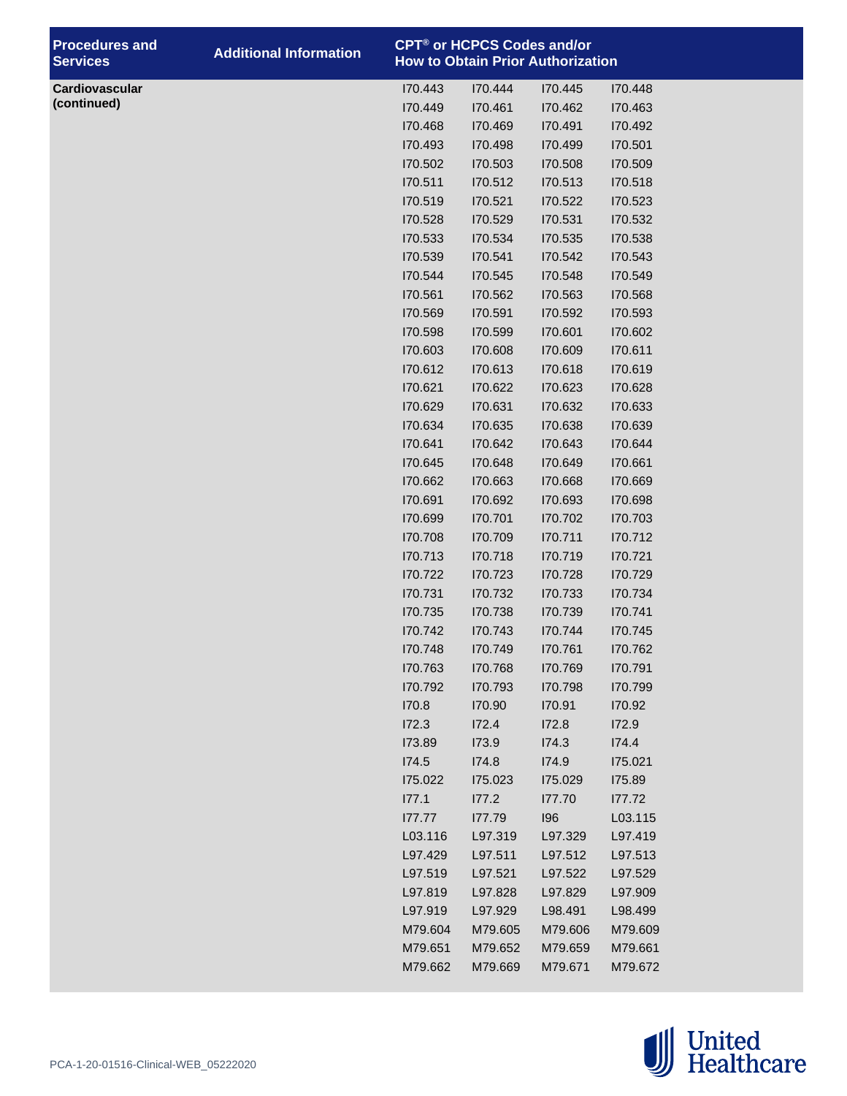| <b>Procedures and</b><br><b>Services</b> | <b>Additional Information</b> | <b>CPT<sup>®</sup> or HCPCS Codes and/or</b> |         | <b>How to Obtain Prior Authorization</b> |         |
|------------------------------------------|-------------------------------|----------------------------------------------|---------|------------------------------------------|---------|
| Cardiovascular                           |                               | 170.443                                      | 170.444 | 170.445                                  | 170.448 |
| (continued)                              |                               | 170.449                                      | 170.461 | 170.462                                  | 170.463 |
|                                          |                               | 170.468                                      | 170.469 | 170.491                                  | 170.492 |
|                                          |                               | 170.493                                      | 170.498 | 170.499                                  | 170.501 |
|                                          |                               | 170.502                                      | 170.503 | 170.508                                  | 170.509 |
|                                          |                               | 170.511                                      | 170.512 | 170.513                                  | 170.518 |
|                                          |                               | 170.519                                      | 170.521 | 170.522                                  | 170.523 |
|                                          |                               | 170.528                                      | 170.529 | 170.531                                  | 170.532 |
|                                          |                               | 170.533                                      | 170.534 | 170.535                                  | I70.538 |
|                                          |                               | 170.539                                      | 170.541 | 170.542                                  | 170.543 |
|                                          |                               | 170.544                                      | 170.545 | 170.548                                  | 170.549 |
|                                          |                               | 170.561                                      | 170.562 | 170.563                                  | I70.568 |
|                                          |                               | 170.569                                      | 170.591 | 170.592                                  | I70.593 |
|                                          |                               | 170.598                                      | 170.599 | 170.601                                  | 170.602 |
|                                          |                               | 170.603                                      | 170.608 | 170.609                                  | 170.611 |
|                                          |                               | 170.612                                      | 170.613 | 170.618                                  | 170.619 |
|                                          |                               | 170.621                                      | 170.622 | 170.623                                  | 170.628 |
|                                          |                               | 170.629                                      | 170.631 | 170.632                                  | 170.633 |
|                                          |                               | 170.634                                      | 170.635 | 170.638                                  | 170.639 |
|                                          |                               | 170.641                                      | 170.642 | 170.643                                  | 170.644 |
|                                          |                               | 170.645                                      | 170.648 | 170.649                                  | 170.661 |
|                                          |                               | 170.662                                      | 170.663 | 170.668                                  | 170.669 |
|                                          |                               | 170.691                                      | 170.692 | 170.693                                  | 170.698 |
|                                          |                               | 170.699                                      | 170.701 | 170.702                                  | 170.703 |
|                                          |                               | 170.708                                      | 170.709 | 170.711                                  | 170.712 |
|                                          |                               | 170.713                                      | 170.718 | 170.719                                  | 170.721 |
|                                          |                               | 170.722                                      | 170.723 | 170.728                                  | 170.729 |
|                                          |                               | 170.731                                      | 170.732 | 170.733                                  | 170.734 |
|                                          |                               | 170.735                                      | 170.738 | 170.739                                  | 170.741 |
|                                          |                               | 170.742                                      | 170.743 | 170.744                                  | 170.745 |
|                                          |                               | 170.748                                      | 170.749 | 170.761                                  | 170.762 |
|                                          |                               | 170.763                                      | 170.768 | 170.769                                  | 170.791 |
|                                          |                               | 170.792                                      | 170.793 | 170.798                                  | 170.799 |
|                                          |                               | 170.8                                        | 170.90  | 170.91                                   | 170.92  |
|                                          |                               | I72.3                                        | I72.4   | 172.8                                    | 172.9   |
|                                          |                               | 173.89                                       | 173.9   | I74.3                                    | 174.4   |
|                                          |                               | I74.5                                        | I74.8   | 174.9                                    | 175.021 |
|                                          |                               | 175.022                                      | 175.023 | 175.029                                  | 175.89  |
|                                          |                               | 177.1                                        | 177.2   | 177.70                                   | 177.72  |
|                                          |                               | 177.77                                       | 177.79  | 196                                      | L03.115 |
|                                          |                               | L03.116                                      | L97.319 | L97.329                                  | L97.419 |
|                                          |                               | L97.429                                      | L97.511 | L97.512                                  | L97.513 |
|                                          |                               | L97.519                                      | L97.521 | L97.522                                  | L97.529 |
|                                          |                               | L97.819                                      | L97.828 | L97.829                                  | L97.909 |
|                                          |                               | L97.919                                      | L97.929 | L98.491                                  | L98.499 |
|                                          |                               | M79.604                                      | M79.605 | M79.606                                  | M79.609 |
|                                          |                               | M79.651                                      | M79.652 | M79.659                                  | M79.661 |
|                                          |                               | M79.662                                      | M79.669 | M79.671                                  | M79.672 |

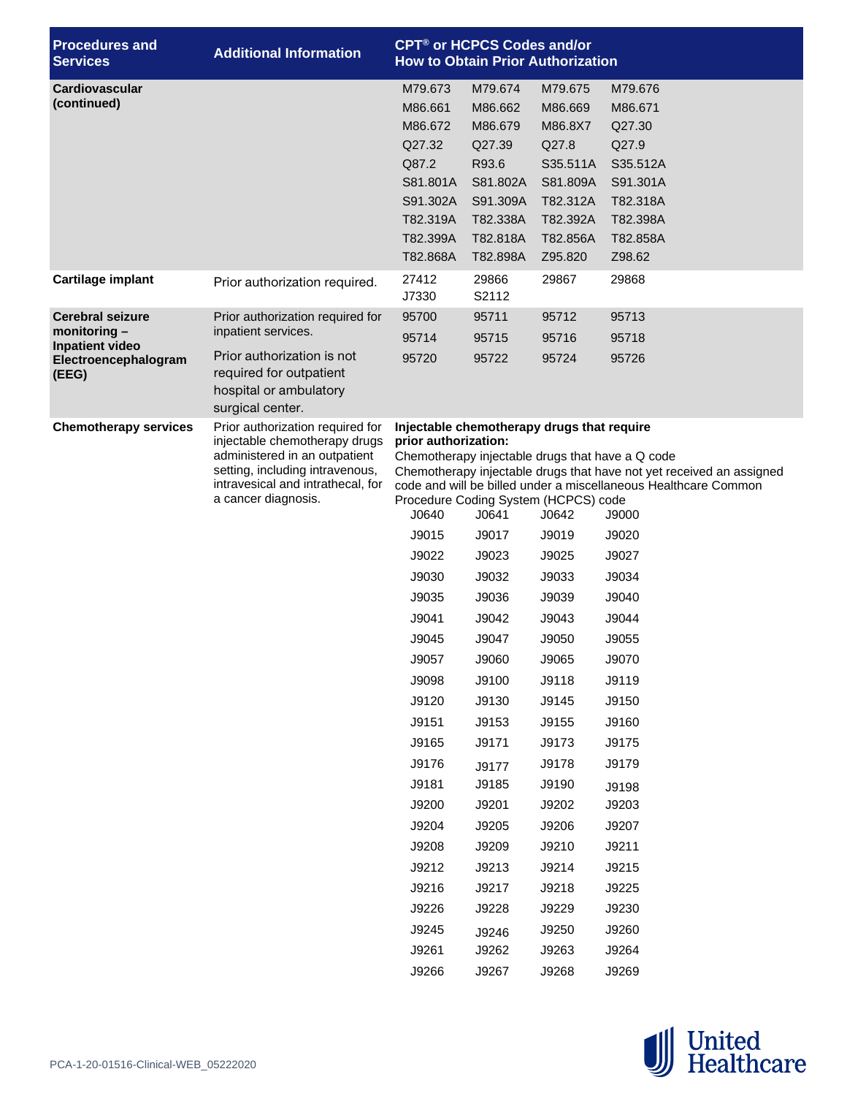| <b>Procedures and</b><br><b>Services</b>                                                             | <b>Additional Information</b>                                                                                                                                                                     | <b>CPT<sup>®</sup> or HCPCS Codes and/or</b><br><b>How to Obtain Prior Authorization</b>                                                                                                                                                                                                                                                                                      |                                                                                                                                                                                                             |                                                                                                                                                                                                             |                                                                                                                                                                                                                                                                                                                                                        |  |  |
|------------------------------------------------------------------------------------------------------|---------------------------------------------------------------------------------------------------------------------------------------------------------------------------------------------------|-------------------------------------------------------------------------------------------------------------------------------------------------------------------------------------------------------------------------------------------------------------------------------------------------------------------------------------------------------------------------------|-------------------------------------------------------------------------------------------------------------------------------------------------------------------------------------------------------------|-------------------------------------------------------------------------------------------------------------------------------------------------------------------------------------------------------------|--------------------------------------------------------------------------------------------------------------------------------------------------------------------------------------------------------------------------------------------------------------------------------------------------------------------------------------------------------|--|--|
| Cardiovascular<br>(continued)                                                                        |                                                                                                                                                                                                   | M79.673<br>M86.661<br>M86.672<br>Q27.32<br>Q87.2<br>S81.801A<br>S91.302A<br>T82.319A<br>T82.399A<br>T82.868A                                                                                                                                                                                                                                                                  | M79.674<br>M86.662<br>M86.679<br>Q27.39<br>R93.6<br>S81.802A<br>S91.309A<br>T82.338A<br>T82.818A<br>T82.898A                                                                                                | M79.675<br>M86.669<br>M86.8X7<br>Q27.8<br>S35.511A<br>S81.809A<br>T82.312A<br>T82.392A<br>T82.856A<br>Z95.820                                                                                               | M79.676<br>M86.671<br>Q27.30<br>Q27.9<br>S35.512A<br>S91.301A<br>T82.318A<br>T82.398A<br>T82.858A<br>Z98.62                                                                                                                                                                                                                                            |  |  |
| Cartilage implant                                                                                    | Prior authorization required.                                                                                                                                                                     | 27412<br>J7330                                                                                                                                                                                                                                                                                                                                                                | 29866<br>S2112                                                                                                                                                                                              | 29867                                                                                                                                                                                                       | 29868                                                                                                                                                                                                                                                                                                                                                  |  |  |
| <b>Cerebral seizure</b><br>monitoring $-$<br><b>Inpatient video</b><br>Electroencephalogram<br>(EEG) | Prior authorization required for<br>inpatient services.<br>Prior authorization is not<br>required for outpatient<br>hospital or ambulatory<br>surgical center.                                    | 95700<br>95714<br>95720                                                                                                                                                                                                                                                                                                                                                       | 95711<br>95715<br>95722                                                                                                                                                                                     | 95712<br>95716<br>95724                                                                                                                                                                                     | 95713<br>95718<br>95726                                                                                                                                                                                                                                                                                                                                |  |  |
| <b>Chemotherapy services</b>                                                                         | Prior authorization required for<br>injectable chemotherapy drugs<br>administered in an outpatient<br>setting, including intravenous,<br>intravesical and intrathecal, for<br>a cancer diagnosis. | Injectable chemotherapy drugs that require<br>prior authorization:<br>Chemotherapy injectable drugs that have a Q code<br>Procedure Coding System (HCPCS) code<br>J0640<br>J9015<br>J9022<br>J9030<br>J9035<br>J9041<br>J9045<br>J9057<br>J9098<br>J9120<br>J9151<br>J9165<br>J9176<br>J9181<br>J9200<br>J9204<br>J9208<br>J9212<br>J9216<br>J9226<br>J9245<br>J9261<br>J9266 | J0641<br>J9017<br>J9023<br>J9032<br>J9036<br>J9042<br>J9047<br>J9060<br>J9100<br>J9130<br>J9153<br>J9171<br>J9177<br>J9185<br>J9201<br>J9205<br>J9209<br>J9213<br>J9217<br>J9228<br>J9246<br>J9262<br>J9267 | J0642<br>J9019<br>J9025<br>J9033<br>J9039<br>J9043<br>J9050<br>J9065<br>J9118<br>J9145<br>J9155<br>J9173<br>J9178<br>J9190<br>J9202<br>J9206<br>J9210<br>J9214<br>J9218<br>J9229<br>J9250<br>J9263<br>J9268 | Chemotherapy injectable drugs that have not yet received an assigned<br>code and will be billed under a miscellaneous Healthcare Common<br>J9000<br>J9020<br>J9027<br>J9034<br>J9040<br>J9044<br>J9055<br>J9070<br>J9119<br>J9150<br>J9160<br>J9175<br>J9179<br>J9198<br>J9203<br>J9207<br>J9211<br>J9215<br>J9225<br>J9230<br>J9260<br>J9264<br>J9269 |  |  |

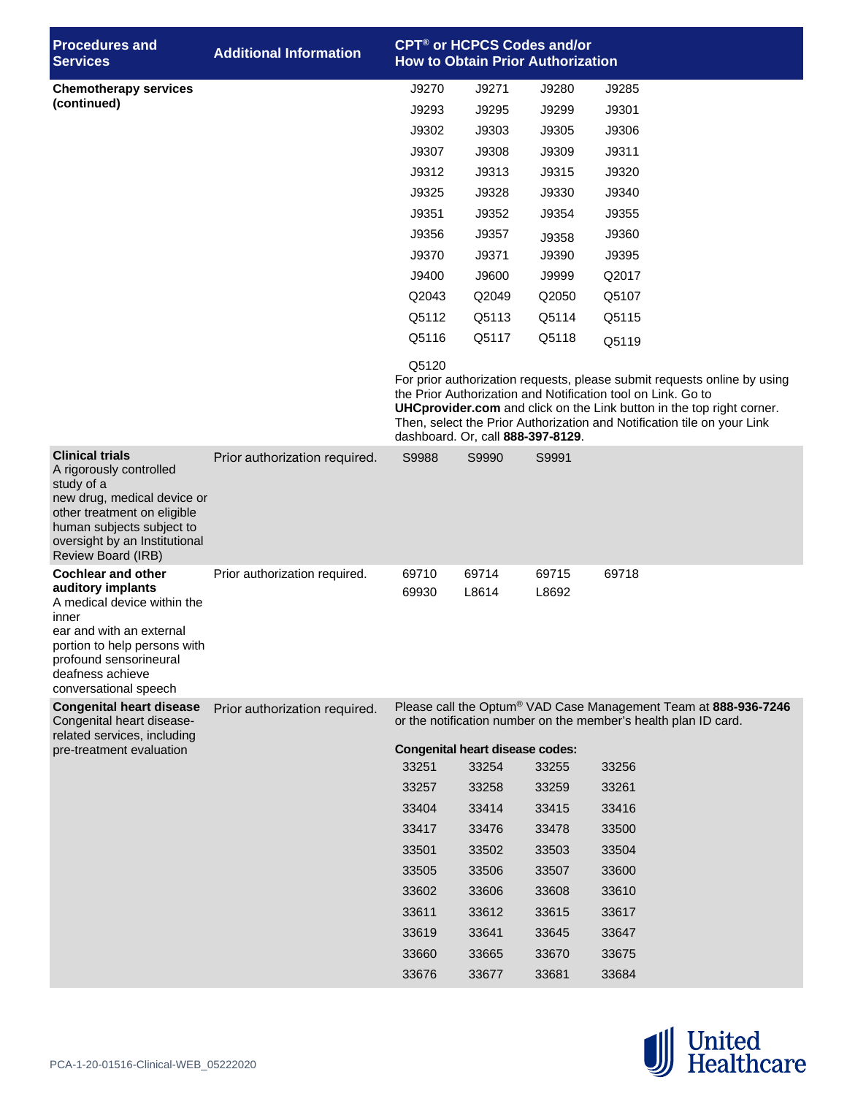| <b>Procedures</b> and<br><b>Services</b>                                                                                                                                                                                  | <b>Additional Information</b> |                |                                                 | CPT <sup>®</sup> or HCPCS Codes and/or<br><b>How to Obtain Prior Authorization</b> |                                                                                                                                                                                                                                                                                                     |
|---------------------------------------------------------------------------------------------------------------------------------------------------------------------------------------------------------------------------|-------------------------------|----------------|-------------------------------------------------|------------------------------------------------------------------------------------|-----------------------------------------------------------------------------------------------------------------------------------------------------------------------------------------------------------------------------------------------------------------------------------------------------|
| <b>Chemotherapy services</b>                                                                                                                                                                                              |                               | J9270          | J9271                                           | J9280                                                                              | J9285                                                                                                                                                                                                                                                                                               |
| (continued)                                                                                                                                                                                                               |                               | J9293          | J9295                                           | J9299                                                                              | J9301                                                                                                                                                                                                                                                                                               |
|                                                                                                                                                                                                                           |                               | J9302          | J9303                                           | J9305                                                                              | J9306                                                                                                                                                                                                                                                                                               |
|                                                                                                                                                                                                                           |                               | J9307          | J9308                                           | J9309                                                                              | J9311                                                                                                                                                                                                                                                                                               |
|                                                                                                                                                                                                                           |                               | J9312          | J9313                                           | J9315                                                                              | J9320                                                                                                                                                                                                                                                                                               |
|                                                                                                                                                                                                                           |                               | J9325          | J9328                                           | J9330                                                                              | J9340                                                                                                                                                                                                                                                                                               |
|                                                                                                                                                                                                                           |                               | J9351          | J9352                                           | J9354                                                                              | J9355                                                                                                                                                                                                                                                                                               |
|                                                                                                                                                                                                                           |                               | J9356          | J9357                                           | J9358                                                                              | J9360                                                                                                                                                                                                                                                                                               |
|                                                                                                                                                                                                                           |                               | J9370          | J9371                                           | J9390                                                                              | J9395                                                                                                                                                                                                                                                                                               |
|                                                                                                                                                                                                                           |                               | J9400          | J9600                                           | J9999                                                                              | Q2017                                                                                                                                                                                                                                                                                               |
|                                                                                                                                                                                                                           |                               | Q2043          | Q2049                                           | Q2050                                                                              | Q5107                                                                                                                                                                                                                                                                                               |
|                                                                                                                                                                                                                           |                               | Q5112          | Q5113                                           | Q5114                                                                              | Q5115                                                                                                                                                                                                                                                                                               |
|                                                                                                                                                                                                                           |                               | Q5116          | Q5117                                           | Q5118                                                                              | Q5119                                                                                                                                                                                                                                                                                               |
|                                                                                                                                                                                                                           |                               | Q5120          | dashboard. Or, call 888-397-8129.               |                                                                                    | For prior authorization requests, please submit requests online by using<br>the Prior Authorization and Notification tool on Link. Go to<br><b>UHCprovider.com</b> and click on the Link button in the top right corner.<br>Then, select the Prior Authorization and Notification tile on your Link |
| <b>Clinical trials</b><br>A rigorously controlled<br>study of a<br>new drug, medical device or<br>other treatment on eligible<br>human subjects subject to<br>oversight by an Institutional<br>Review Board (IRB)         | Prior authorization required. | S9988          | S9990                                           | S9991                                                                              |                                                                                                                                                                                                                                                                                                     |
| <b>Cochlear and other</b><br>auditory implants<br>A medical device within the<br>inner<br>ear and with an external<br>portion to help persons with<br>profound sensorineural<br>deafness achieve<br>conversational speech | Prior authorization required. | 69710<br>69930 | 69714<br>L8614                                  | 69715<br>L8692                                                                     | 69718                                                                                                                                                                                                                                                                                               |
| <b>Congenital heart disease</b><br>Congenital heart disease-                                                                                                                                                              | Prior authorization required. |                |                                                 |                                                                                    | Please call the Optum® VAD Case Management Team at 888-936-7246<br>or the notification number on the member's health plan ID card.                                                                                                                                                                  |
| related services, including<br>pre-treatment evaluation                                                                                                                                                                   |                               | 33251          | <b>Congenital heart disease codes:</b><br>33254 | 33255                                                                              | 33256                                                                                                                                                                                                                                                                                               |
|                                                                                                                                                                                                                           |                               | 33257          | 33258                                           | 33259                                                                              | 33261                                                                                                                                                                                                                                                                                               |
|                                                                                                                                                                                                                           |                               | 33404          | 33414                                           | 33415                                                                              | 33416                                                                                                                                                                                                                                                                                               |
|                                                                                                                                                                                                                           |                               | 33417          | 33476                                           | 33478                                                                              | 33500                                                                                                                                                                                                                                                                                               |
|                                                                                                                                                                                                                           |                               | 33501          | 33502                                           | 33503                                                                              | 33504                                                                                                                                                                                                                                                                                               |
|                                                                                                                                                                                                                           |                               | 33505          | 33506                                           | 33507                                                                              | 33600                                                                                                                                                                                                                                                                                               |
|                                                                                                                                                                                                                           |                               | 33602          | 33606                                           | 33608                                                                              | 33610                                                                                                                                                                                                                                                                                               |
|                                                                                                                                                                                                                           |                               | 33611          | 33612                                           | 33615                                                                              | 33617                                                                                                                                                                                                                                                                                               |
|                                                                                                                                                                                                                           |                               | 33619          | 33641                                           | 33645                                                                              | 33647                                                                                                                                                                                                                                                                                               |
|                                                                                                                                                                                                                           |                               | 33660          | 33665                                           | 33670                                                                              | 33675                                                                                                                                                                                                                                                                                               |
|                                                                                                                                                                                                                           |                               | 33676          | 33677                                           | 33681                                                                              | 33684                                                                                                                                                                                                                                                                                               |

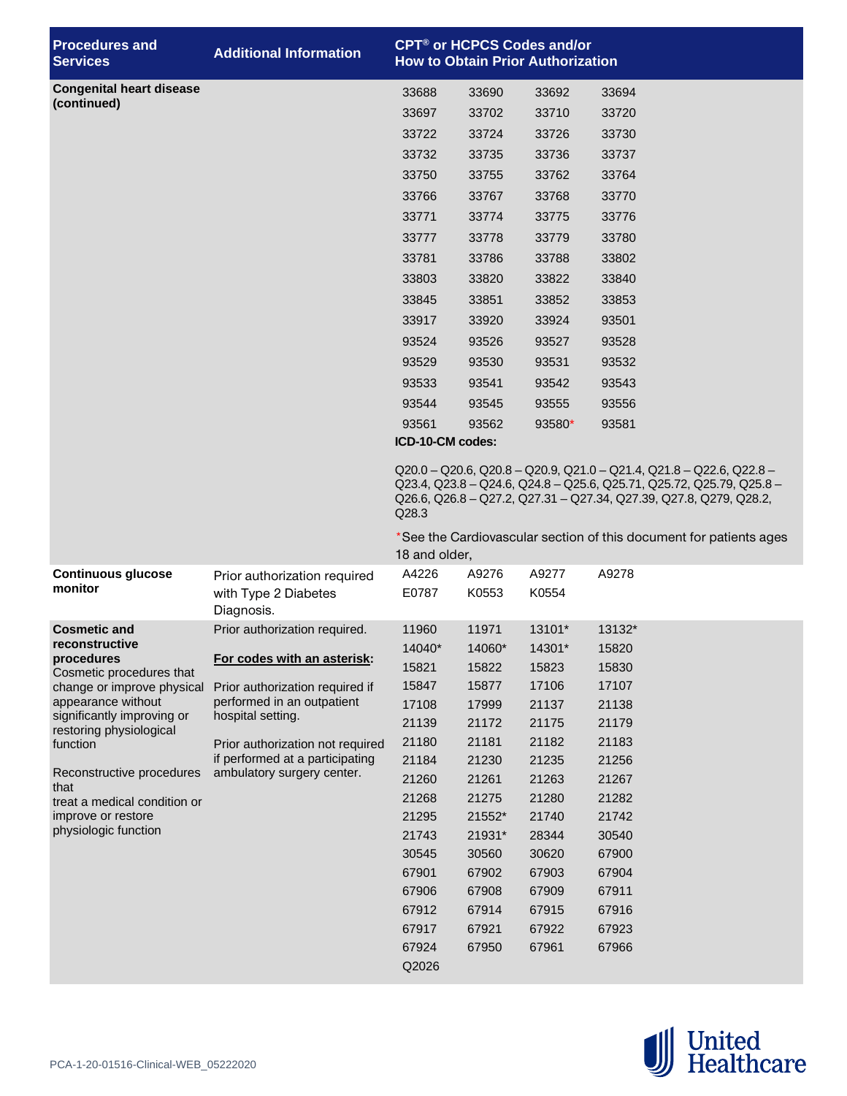| <b>Procedures and</b><br><b>Services</b>           | <b>Additional Information</b>                                       | CPT <sup>®</sup> or HCPCS Codes and/or<br><b>How to Obtain Prior Authorization</b>                                                                                                                                                       |                |                |                                                                    |  |  |  |
|----------------------------------------------------|---------------------------------------------------------------------|------------------------------------------------------------------------------------------------------------------------------------------------------------------------------------------------------------------------------------------|----------------|----------------|--------------------------------------------------------------------|--|--|--|
| <b>Congenital heart disease</b>                    |                                                                     | 33688                                                                                                                                                                                                                                    | 33690          | 33692          | 33694                                                              |  |  |  |
| (continued)                                        |                                                                     | 33697                                                                                                                                                                                                                                    | 33702          | 33710          | 33720                                                              |  |  |  |
|                                                    |                                                                     | 33722                                                                                                                                                                                                                                    | 33724          | 33726          | 33730                                                              |  |  |  |
|                                                    |                                                                     | 33732                                                                                                                                                                                                                                    | 33735          | 33736          | 33737                                                              |  |  |  |
|                                                    |                                                                     | 33750                                                                                                                                                                                                                                    | 33755          | 33762          | 33764                                                              |  |  |  |
|                                                    |                                                                     | 33766                                                                                                                                                                                                                                    | 33767          | 33768          | 33770                                                              |  |  |  |
|                                                    |                                                                     | 33771                                                                                                                                                                                                                                    | 33774          | 33775          | 33776                                                              |  |  |  |
|                                                    |                                                                     | 33777                                                                                                                                                                                                                                    | 33778          | 33779          | 33780                                                              |  |  |  |
|                                                    |                                                                     | 33781                                                                                                                                                                                                                                    | 33786          | 33788          | 33802                                                              |  |  |  |
|                                                    |                                                                     | 33803                                                                                                                                                                                                                                    | 33820          | 33822          | 33840                                                              |  |  |  |
|                                                    |                                                                     | 33845                                                                                                                                                                                                                                    | 33851          | 33852          | 33853                                                              |  |  |  |
|                                                    |                                                                     | 33917                                                                                                                                                                                                                                    | 33920          | 33924          | 93501                                                              |  |  |  |
|                                                    |                                                                     | 93524                                                                                                                                                                                                                                    | 93526          | 93527          | 93528                                                              |  |  |  |
|                                                    |                                                                     | 93529                                                                                                                                                                                                                                    | 93530          | 93531          | 93532                                                              |  |  |  |
|                                                    |                                                                     | 93533                                                                                                                                                                                                                                    | 93541          | 93542          | 93543                                                              |  |  |  |
|                                                    |                                                                     | 93544                                                                                                                                                                                                                                    | 93545          | 93555          | 93556                                                              |  |  |  |
|                                                    |                                                                     | 93561                                                                                                                                                                                                                                    | 93562          | 93580*         | 93581                                                              |  |  |  |
|                                                    |                                                                     | ICD-10-CM codes:                                                                                                                                                                                                                         |                |                |                                                                    |  |  |  |
|                                                    |                                                                     | $Q20.0 - Q20.6$ , $Q20.8 - Q20.9$ , $Q21.0 - Q21.4$ , $Q21.8 - Q22.6$ , $Q22.8 -$<br>Q23.4, Q23.8 - Q24.6, Q24.8 - Q25.6, Q25.71, Q25.72, Q25.79, Q25.8 -<br>Q26.6, Q26.8 - Q27.2, Q27.31 - Q27.34, Q27.39, Q27.8, Q279, Q28.2,<br>Q28.3 |                |                |                                                                    |  |  |  |
|                                                    |                                                                     | 18 and older,                                                                                                                                                                                                                            |                |                | *See the Cardiovascular section of this document for patients ages |  |  |  |
| <b>Continuous glucose</b><br>monitor               | Prior authorization required<br>with Type 2 Diabetes<br>Diagnosis.  | A4226<br>E0787                                                                                                                                                                                                                           | A9276<br>K0553 | A9277<br>K0554 | A9278                                                              |  |  |  |
| <b>Cosmetic and</b>                                | Prior authorization required.                                       | 11960                                                                                                                                                                                                                                    | 11971          | 13101*         | 13132*                                                             |  |  |  |
| reconstructive<br>procedures                       | For codes with an asterisk:                                         | 14040*                                                                                                                                                                                                                                   | 14060*         | 14301*         | 15820                                                              |  |  |  |
| Cosmetic procedures that                           |                                                                     | 15821                                                                                                                                                                                                                                    | 15822          | 15823          | 15830                                                              |  |  |  |
| change or improve physical<br>appearance without   | Prior authorization required if<br>performed in an outpatient       | 15847                                                                                                                                                                                                                                    | 15877          | 17106          | 17107                                                              |  |  |  |
| significantly improving or                         | hospital setting.                                                   | 17108                                                                                                                                                                                                                                    | 17999          | 21137          | 21138                                                              |  |  |  |
| restoring physiological                            |                                                                     | 21139                                                                                                                                                                                                                                    | 21172          | 21175          | 21179                                                              |  |  |  |
| function                                           | Prior authorization not required<br>if performed at a participating | 21180<br>21184                                                                                                                                                                                                                           | 21181<br>21230 | 21182<br>21235 | 21183<br>21256                                                     |  |  |  |
| Reconstructive procedures                          | ambulatory surgery center.                                          | 21260                                                                                                                                                                                                                                    | 21261          | 21263          | 21267                                                              |  |  |  |
| that                                               |                                                                     | 21268                                                                                                                                                                                                                                    | 21275          | 21280          | 21282                                                              |  |  |  |
| treat a medical condition or<br>improve or restore |                                                                     | 21295                                                                                                                                                                                                                                    | 21552*         | 21740          | 21742                                                              |  |  |  |
| physiologic function                               |                                                                     | 21743                                                                                                                                                                                                                                    | 21931*         | 28344          | 30540                                                              |  |  |  |
|                                                    |                                                                     | 30545                                                                                                                                                                                                                                    | 30560          | 30620          | 67900                                                              |  |  |  |
|                                                    |                                                                     | 67901                                                                                                                                                                                                                                    | 67902          | 67903          | 67904                                                              |  |  |  |
|                                                    |                                                                     | 67906                                                                                                                                                                                                                                    | 67908          | 67909          | 67911                                                              |  |  |  |
|                                                    |                                                                     | 67912                                                                                                                                                                                                                                    | 67914          | 67915          | 67916                                                              |  |  |  |
|                                                    |                                                                     | 67917                                                                                                                                                                                                                                    | 67921          | 67922          | 67923                                                              |  |  |  |
|                                                    |                                                                     | 67924                                                                                                                                                                                                                                    | 67950          | 67961          | 67966                                                              |  |  |  |
|                                                    |                                                                     | Q2026                                                                                                                                                                                                                                    |                |                |                                                                    |  |  |  |

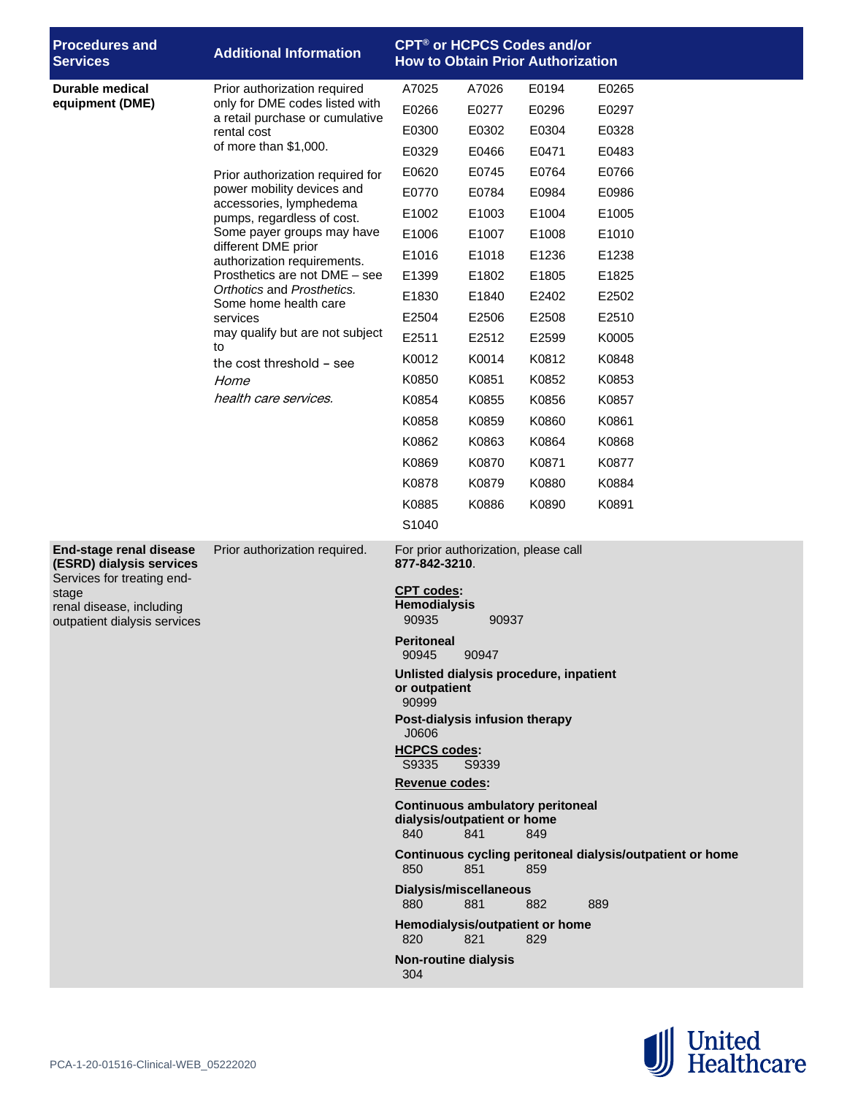| <b>Procedures and</b><br><b>Services</b>                                                 | <b>Additional Information</b>                                     | CPT <sup>®</sup> or HCPCS Codes and/or<br><b>How to Obtain Prior Authorization</b>          |                                        |                                        |                                                           |  |  |
|------------------------------------------------------------------------------------------|-------------------------------------------------------------------|---------------------------------------------------------------------------------------------|----------------------------------------|----------------------------------------|-----------------------------------------------------------|--|--|
| <b>Durable medical</b>                                                                   | Prior authorization required                                      | A7025                                                                                       | A7026                                  | E0194                                  | E0265                                                     |  |  |
| equipment (DME)                                                                          | only for DME codes listed with<br>a retail purchase or cumulative | E0266                                                                                       | E0277                                  | E0296                                  | E0297                                                     |  |  |
|                                                                                          | rental cost                                                       | E0300                                                                                       | E0302                                  | E0304                                  | E0328                                                     |  |  |
|                                                                                          | of more than \$1,000.                                             | E0329                                                                                       | E0466                                  | E0471                                  | E0483                                                     |  |  |
|                                                                                          | Prior authorization required for                                  | E0620                                                                                       | E0745                                  | E0764                                  | E0766                                                     |  |  |
|                                                                                          | power mobility devices and<br>accessories, lymphedema             | E0770                                                                                       | E0784                                  | E0984                                  | E0986                                                     |  |  |
|                                                                                          | pumps, regardless of cost.                                        | E1002                                                                                       | E1003                                  | E1004                                  | E1005                                                     |  |  |
|                                                                                          | Some payer groups may have<br>different DME prior                 | E1006                                                                                       | E1007                                  | E1008                                  | E1010                                                     |  |  |
|                                                                                          | authorization requirements.                                       | E1016                                                                                       | E1018                                  | E1236                                  | E1238                                                     |  |  |
|                                                                                          | Prosthetics are not DME - see                                     | E1399                                                                                       | E1802                                  | E1805                                  | E1825                                                     |  |  |
|                                                                                          | Orthotics and Prosthetics.<br>Some home health care               | E1830                                                                                       | E1840                                  | E2402                                  | E2502                                                     |  |  |
|                                                                                          | services                                                          | E2504                                                                                       | E2506                                  | E2508                                  | E2510                                                     |  |  |
|                                                                                          | may qualify but are not subject<br>to                             | E2511                                                                                       | E2512                                  | E2599                                  | K0005                                                     |  |  |
|                                                                                          | the cost threshold - see                                          | K0012                                                                                       | K0014                                  | K0812                                  | K0848                                                     |  |  |
|                                                                                          | Home                                                              | K0850                                                                                       | K0851                                  | K0852                                  | K0853                                                     |  |  |
|                                                                                          | health care services.                                             | K0854                                                                                       | K0855                                  | K0856                                  | K0857                                                     |  |  |
|                                                                                          |                                                                   | K0858                                                                                       | K0859                                  | K0860                                  | K0861                                                     |  |  |
|                                                                                          |                                                                   | K0862                                                                                       | K0863                                  | K0864                                  | K0868                                                     |  |  |
|                                                                                          |                                                                   | K0869                                                                                       | K0870                                  | K0871                                  | K0877                                                     |  |  |
|                                                                                          |                                                                   | K0878                                                                                       | K0879                                  | K0880                                  | K0884                                                     |  |  |
|                                                                                          |                                                                   | K0885                                                                                       | K0886                                  | K0890                                  | K0891                                                     |  |  |
|                                                                                          |                                                                   | S1040                                                                                       |                                        |                                        |                                                           |  |  |
| <b>End-stage renal disease</b><br>(ESRD) dialysis services<br>Services for treating end- | Prior authorization required.                                     | For prior authorization, please call<br>877-842-3210.                                       |                                        |                                        |                                                           |  |  |
| stage<br>renal disease, including<br>outpatient dialysis services                        |                                                                   | <b>CPT codes:</b><br><b>Hemodialysis</b><br>90935<br>90937                                  |                                        |                                        |                                                           |  |  |
|                                                                                          |                                                                   | <b>Peritoneal</b><br>90945<br>90947                                                         |                                        |                                        |                                                           |  |  |
|                                                                                          |                                                                   | or outpatient<br>90999                                                                      | Unlisted dialysis procedure, inpatient |                                        |                                                           |  |  |
|                                                                                          |                                                                   | Post-dialysis infusion therapy<br>J0606                                                     |                                        |                                        |                                                           |  |  |
|                                                                                          |                                                                   | <b>HCPCS codes:</b><br>S9335                                                                | S9339                                  |                                        |                                                           |  |  |
|                                                                                          |                                                                   | <b>Revenue codes:</b>                                                                       |                                        |                                        |                                                           |  |  |
|                                                                                          |                                                                   | <b>Continuous ambulatory peritoneal</b><br>dialysis/outpatient or home<br>840<br>841<br>849 |                                        |                                        |                                                           |  |  |
|                                                                                          |                                                                   | 850                                                                                         | 851                                    | 859                                    | Continuous cycling peritoneal dialysis/outpatient or home |  |  |
|                                                                                          |                                                                   | Dialysis/miscellaneous<br>880                                                               | 881                                    | 882                                    | 889                                                       |  |  |
|                                                                                          |                                                                   | 820                                                                                         | 821                                    | Hemodialysis/outpatient or home<br>829 |                                                           |  |  |
|                                                                                          |                                                                   | <b>Non-routine dialysis</b><br>304                                                          |                                        |                                        |                                                           |  |  |

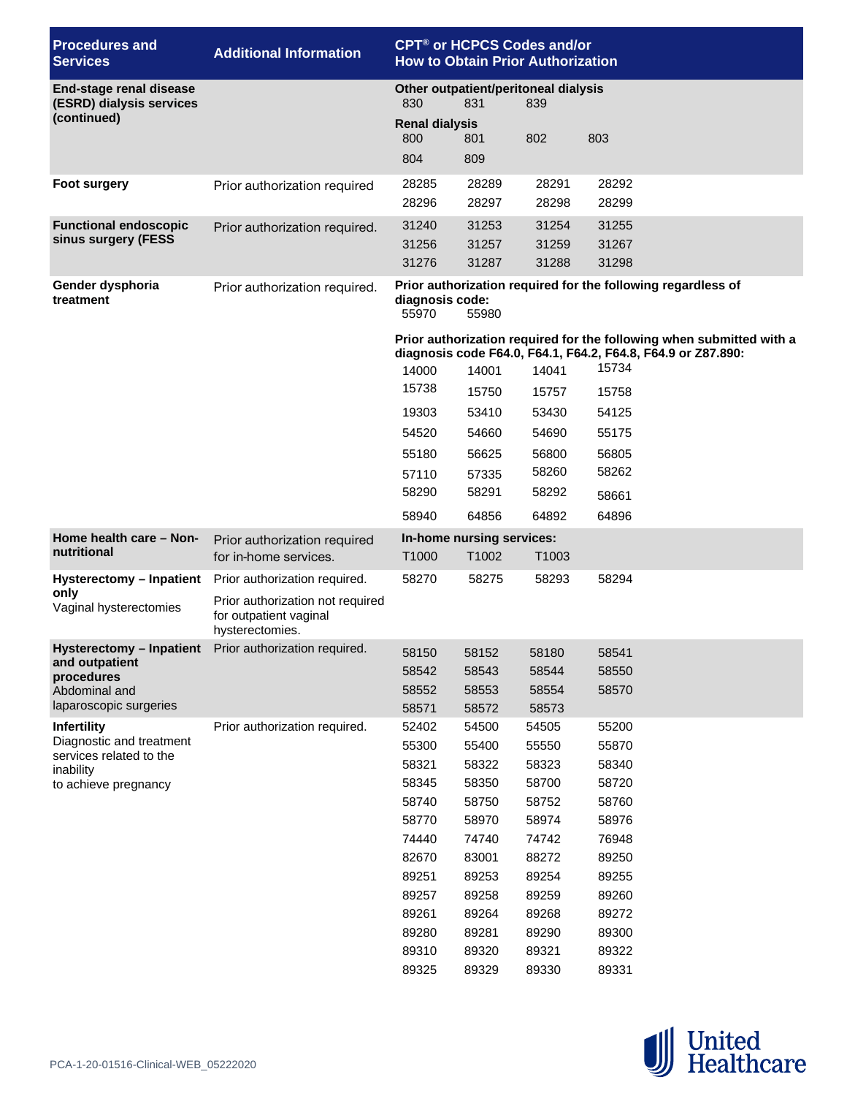| <b>Procedures and</b><br><b>Services</b>                   | <b>Additional Information</b>                                                 | CPT <sup>®</sup> or HCPCS Codes and/or<br><b>How to Obtain Prior Authorization</b> |                                    |                         |                                                                                                                                      |  |  |  |
|------------------------------------------------------------|-------------------------------------------------------------------------------|------------------------------------------------------------------------------------|------------------------------------|-------------------------|--------------------------------------------------------------------------------------------------------------------------------------|--|--|--|
| <b>End-stage renal disease</b><br>(ESRD) dialysis services |                                                                               | Other outpatient/peritoneal dialysis<br>830<br>831<br>839                          |                                    |                         |                                                                                                                                      |  |  |  |
| (continued)                                                |                                                                               | <b>Renal dialysis</b><br>800<br>804                                                | 801<br>809                         | 802                     | 803                                                                                                                                  |  |  |  |
| <b>Foot surgery</b>                                        | Prior authorization required                                                  | 28285<br>28296                                                                     | 28289<br>28297                     | 28291<br>28298          | 28292<br>28299                                                                                                                       |  |  |  |
| <b>Functional endoscopic</b><br>sinus surgery (FESS        | Prior authorization required.                                                 | 31240<br>31256<br>31276                                                            | 31253<br>31257<br>31287            | 31254<br>31259<br>31288 | 31255<br>31267<br>31298                                                                                                              |  |  |  |
| Gender dysphoria<br>treatment                              | Prior authorization required.                                                 | diagnosis code:<br>55970                                                           | 55980                              |                         | Prior authorization required for the following regardless of                                                                         |  |  |  |
|                                                            |                                                                               |                                                                                    |                                    |                         | Prior authorization required for the following when submitted with a<br>diagnosis code F64.0, F64.1, F64.2, F64.8, F64.9 or Z87.890: |  |  |  |
|                                                            |                                                                               | 14000                                                                              | 14001                              | 14041                   | 15734                                                                                                                                |  |  |  |
|                                                            |                                                                               | 15738                                                                              | 15750                              | 15757                   | 15758                                                                                                                                |  |  |  |
|                                                            |                                                                               | 19303                                                                              | 53410                              | 53430                   | 54125                                                                                                                                |  |  |  |
|                                                            |                                                                               | 54520                                                                              | 54660                              | 54690                   | 55175                                                                                                                                |  |  |  |
|                                                            |                                                                               | 55180                                                                              | 56625                              | 56800                   | 56805                                                                                                                                |  |  |  |
|                                                            |                                                                               | 57110                                                                              | 57335                              | 58260                   | 58262                                                                                                                                |  |  |  |
|                                                            |                                                                               | 58290                                                                              | 58291                              | 58292                   | 58661                                                                                                                                |  |  |  |
|                                                            |                                                                               | 58940                                                                              | 64856                              | 64892                   | 64896                                                                                                                                |  |  |  |
|                                                            |                                                                               |                                                                                    |                                    |                         |                                                                                                                                      |  |  |  |
| Home health care - Non-<br>nutritional                     | Prior authorization required<br>for in-home services.                         | T1000                                                                              | In-home nursing services:<br>T1002 | T1003                   |                                                                                                                                      |  |  |  |
| Hysterectomy - Inpatient                                   | Prior authorization required.                                                 | 58270                                                                              | 58275                              | 58293                   | 58294                                                                                                                                |  |  |  |
| only<br>Vaginal hysterectomies                             | Prior authorization not required<br>for outpatient vaginal<br>hysterectomies. |                                                                                    |                                    |                         |                                                                                                                                      |  |  |  |
|                                                            | Hysterectomy - Inpatient Prior authorization required.                        | 58150                                                                              | 58152                              | 58180                   | 58541                                                                                                                                |  |  |  |
| and outpatient<br>procedures                               |                                                                               | 58542                                                                              | 58543                              | 58544                   | 58550                                                                                                                                |  |  |  |
| Abdominal and                                              |                                                                               | 58552                                                                              | 58553                              | 58554                   | 58570                                                                                                                                |  |  |  |
| laparoscopic surgeries                                     |                                                                               | 58571                                                                              | 58572                              | 58573                   |                                                                                                                                      |  |  |  |
| <b>Infertility</b>                                         | Prior authorization required.                                                 | 52402                                                                              | 54500                              | 54505                   | 55200                                                                                                                                |  |  |  |
| Diagnostic and treatment<br>services related to the        |                                                                               | 55300                                                                              | 55400                              | 55550                   | 55870                                                                                                                                |  |  |  |
| inability                                                  |                                                                               | 58321                                                                              | 58322                              | 58323                   | 58340                                                                                                                                |  |  |  |
| to achieve pregnancy                                       |                                                                               | 58345                                                                              | 58350                              | 58700                   | 58720                                                                                                                                |  |  |  |
|                                                            |                                                                               | 58740                                                                              | 58750                              | 58752                   | 58760                                                                                                                                |  |  |  |
|                                                            |                                                                               | 58770                                                                              | 58970                              | 58974                   | 58976                                                                                                                                |  |  |  |
|                                                            |                                                                               | 74440                                                                              | 74740                              | 74742                   | 76948                                                                                                                                |  |  |  |
|                                                            |                                                                               | 82670                                                                              | 83001                              | 88272                   | 89250                                                                                                                                |  |  |  |
|                                                            |                                                                               | 89251                                                                              | 89253                              | 89254                   | 89255                                                                                                                                |  |  |  |
|                                                            |                                                                               | 89257<br>89261                                                                     | 89258<br>89264                     | 89259<br>89268          | 89260<br>89272                                                                                                                       |  |  |  |
|                                                            |                                                                               | 89280                                                                              | 89281                              | 89290                   | 89300                                                                                                                                |  |  |  |
|                                                            |                                                                               | 89310                                                                              | 89320                              | 89321                   | 89322                                                                                                                                |  |  |  |
|                                                            |                                                                               | 89325                                                                              | 89329                              | 89330                   | 89331                                                                                                                                |  |  |  |

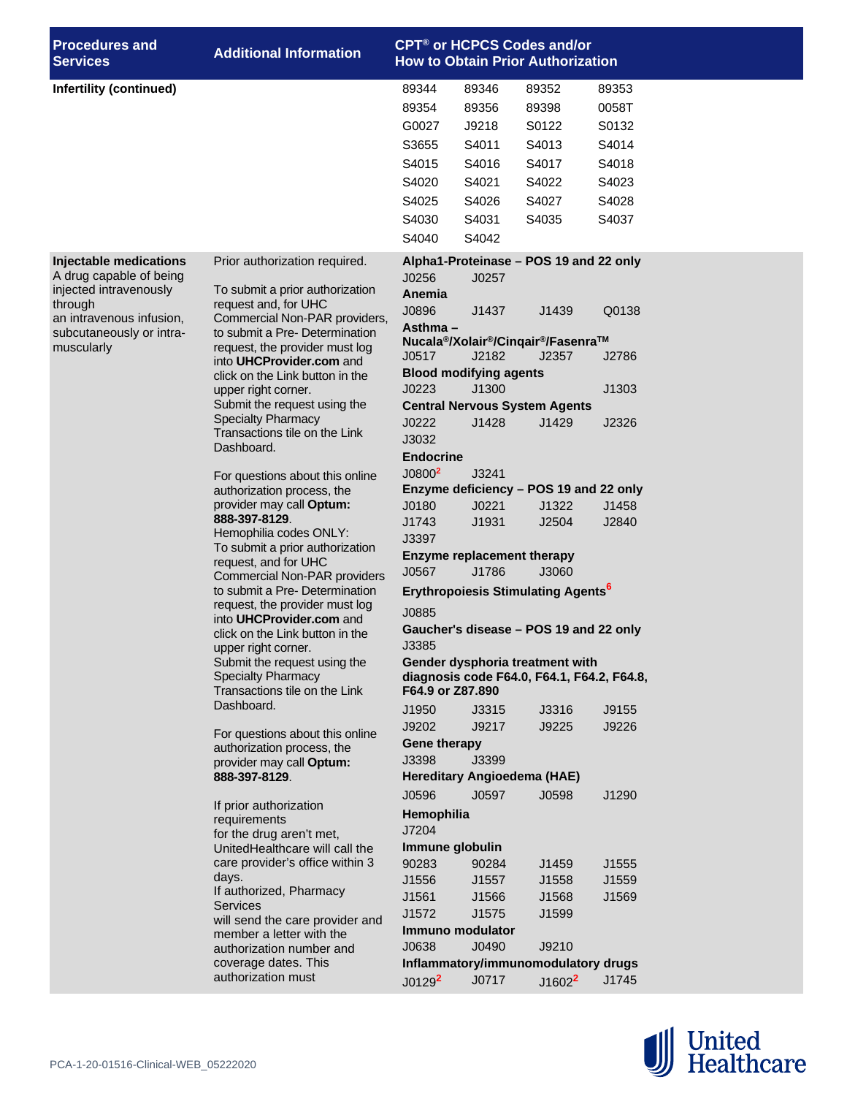| <b>Procedures and</b><br><b>Services</b>             | <b>Additional Information</b>                                         |                                                      |                                        | <b>CPT<sup>®</sup> or HCPCS Codes and/or</b><br><b>How to Obtain Prior Authorization</b> |       |  |  |  |
|------------------------------------------------------|-----------------------------------------------------------------------|------------------------------------------------------|----------------------------------------|------------------------------------------------------------------------------------------|-------|--|--|--|
| Infertility (continued)                              |                                                                       | 89344                                                | 89346                                  | 89352                                                                                    | 89353 |  |  |  |
|                                                      |                                                                       | 89354                                                | 89356                                  | 89398                                                                                    | 0058T |  |  |  |
|                                                      |                                                                       | G0027                                                | J9218                                  | S0122                                                                                    | S0132 |  |  |  |
|                                                      |                                                                       | S3655                                                | S4011                                  | S4013                                                                                    | S4014 |  |  |  |
|                                                      |                                                                       | S4015                                                | S4016                                  | S4017                                                                                    | S4018 |  |  |  |
|                                                      |                                                                       | S4020                                                | S4021                                  | S4022                                                                                    | S4023 |  |  |  |
|                                                      |                                                                       | S4025                                                | S4026                                  | S4027                                                                                    | S4028 |  |  |  |
|                                                      |                                                                       | S4030                                                | S4031                                  | S4035                                                                                    | S4037 |  |  |  |
|                                                      |                                                                       | S4040                                                | S4042                                  |                                                                                          |       |  |  |  |
| Injectable medications                               | Prior authorization required.                                         |                                                      |                                        | Alpha1-Proteinase - POS 19 and 22 only                                                   |       |  |  |  |
| A drug capable of being                              |                                                                       | J0256                                                | J0257                                  |                                                                                          |       |  |  |  |
| injected intravenously                               | To submit a prior authorization                                       | Anemia                                               |                                        |                                                                                          |       |  |  |  |
| through                                              | request and, for UHC<br>Commercial Non-PAR providers,                 | J0896                                                | J1437                                  | J1439                                                                                    | Q0138 |  |  |  |
| an intravenous infusion,<br>subcutaneously or intra- | to submit a Pre- Determination                                        | Asthma $-$                                           |                                        |                                                                                          |       |  |  |  |
| muscularly                                           | request, the provider must log                                        |                                                      |                                        | Nucala <sup>®</sup> /Xolair <sup>®</sup> /Cinqair <sup>®</sup> /Fasenra™                 |       |  |  |  |
|                                                      | into UHCProvider.com and                                              | J0517                                                | J2182<br><b>Blood modifying agents</b> | J2357                                                                                    | J2786 |  |  |  |
|                                                      | click on the Link button in the<br>upper right corner.                | J0223                                                | J1300                                  |                                                                                          | J1303 |  |  |  |
|                                                      | Submit the request using the                                          |                                                      |                                        | <b>Central Nervous System Agents</b>                                                     |       |  |  |  |
|                                                      | <b>Specialty Pharmacy</b>                                             | J0222                                                | J1428                                  | J1429                                                                                    | J2326 |  |  |  |
|                                                      | Transactions tile on the Link                                         | J3032                                                |                                        |                                                                                          |       |  |  |  |
| Dashboard.<br>For questions about this online        |                                                                       | <b>Endocrine</b>                                     |                                        |                                                                                          |       |  |  |  |
|                                                      | J0800 <sup>2</sup>                                                    | J3241                                                |                                        |                                                                                          |       |  |  |  |
|                                                      | authorization process, the                                            |                                                      |                                        | Enzyme deficiency - POS 19 and 22 only                                                   |       |  |  |  |
|                                                      | provider may call Optum:                                              | J0180                                                | J0221                                  | J1322                                                                                    | J1458 |  |  |  |
|                                                      | 888-397-8129.<br>Hemophilia codes ONLY:                               | J1743                                                | J1931                                  | J2504                                                                                    | J2840 |  |  |  |
|                                                      | To submit a prior authorization                                       | J3397<br><b>Enzyme replacement therapy</b>           |                                        |                                                                                          |       |  |  |  |
|                                                      | request, and for UHC                                                  | J0567                                                | J1786                                  | J3060                                                                                    |       |  |  |  |
|                                                      | <b>Commercial Non-PAR providers</b><br>to submit a Pre- Determination |                                                      |                                        |                                                                                          |       |  |  |  |
|                                                      | request, the provider must log                                        | <b>Erythropoiesis Stimulating Agents<sup>6</sup></b> |                                        |                                                                                          |       |  |  |  |
|                                                      | into UHCProvider.com and                                              | J0885                                                |                                        |                                                                                          |       |  |  |  |
|                                                      | click on the Link button in the                                       | Gaucher's disease - POS 19 and 22 only<br>J3385      |                                        |                                                                                          |       |  |  |  |
|                                                      | upper right corner.<br>Submit the request using the                   | Gender dysphoria treatment with                      |                                        |                                                                                          |       |  |  |  |
|                                                      | <b>Specialty Pharmacy</b>                                             | diagnosis code F64.0, F64.1, F64.2, F64.8,           |                                        |                                                                                          |       |  |  |  |
|                                                      | Transactions tile on the Link                                         | F64.9 or Z87.890                                     |                                        |                                                                                          |       |  |  |  |
|                                                      | Dashboard.                                                            | J1950                                                | J3315                                  | J3316                                                                                    | J9155 |  |  |  |
|                                                      | For questions about this online                                       | J9202                                                | J9217                                  | J9225                                                                                    | J9226 |  |  |  |
|                                                      | authorization process, the                                            | Gene therapy                                         |                                        |                                                                                          |       |  |  |  |
|                                                      | provider may call Optum:                                              | J3398                                                | J3399                                  |                                                                                          |       |  |  |  |
|                                                      | 888-397-8129.                                                         |                                                      |                                        | Hereditary Angioedema (HAE)                                                              |       |  |  |  |
|                                                      | If prior authorization                                                | J0596                                                | J0597                                  | J0598                                                                                    | J1290 |  |  |  |
|                                                      | requirements                                                          | Hemophilia                                           |                                        |                                                                                          |       |  |  |  |
|                                                      | for the drug aren't met,                                              | J7204                                                |                                        |                                                                                          |       |  |  |  |
|                                                      | UnitedHealthcare will call the<br>care provider's office within 3     | Immune globulin<br>90283                             | 90284                                  | J1459                                                                                    | J1555 |  |  |  |
|                                                      | days.                                                                 | J1556                                                | J1557                                  | J1558                                                                                    | J1559 |  |  |  |
|                                                      | If authorized, Pharmacy                                               | J1561                                                | J1566                                  | J1568                                                                                    | J1569 |  |  |  |
|                                                      | <b>Services</b>                                                       | J1572                                                | J1575                                  | J1599                                                                                    |       |  |  |  |
|                                                      | will send the care provider and<br>member a letter with the           |                                                      | Immuno modulator                       |                                                                                          |       |  |  |  |
|                                                      | authorization number and                                              | J0638                                                | J0490                                  | J9210                                                                                    |       |  |  |  |
|                                                      | coverage dates. This                                                  |                                                      |                                        | Inflammatory/immunomodulatory drugs                                                      |       |  |  |  |
|                                                      | authorization must                                                    | J0129 <sup>2</sup>                                   | J0717                                  | $J1602^2$                                                                                | J1745 |  |  |  |

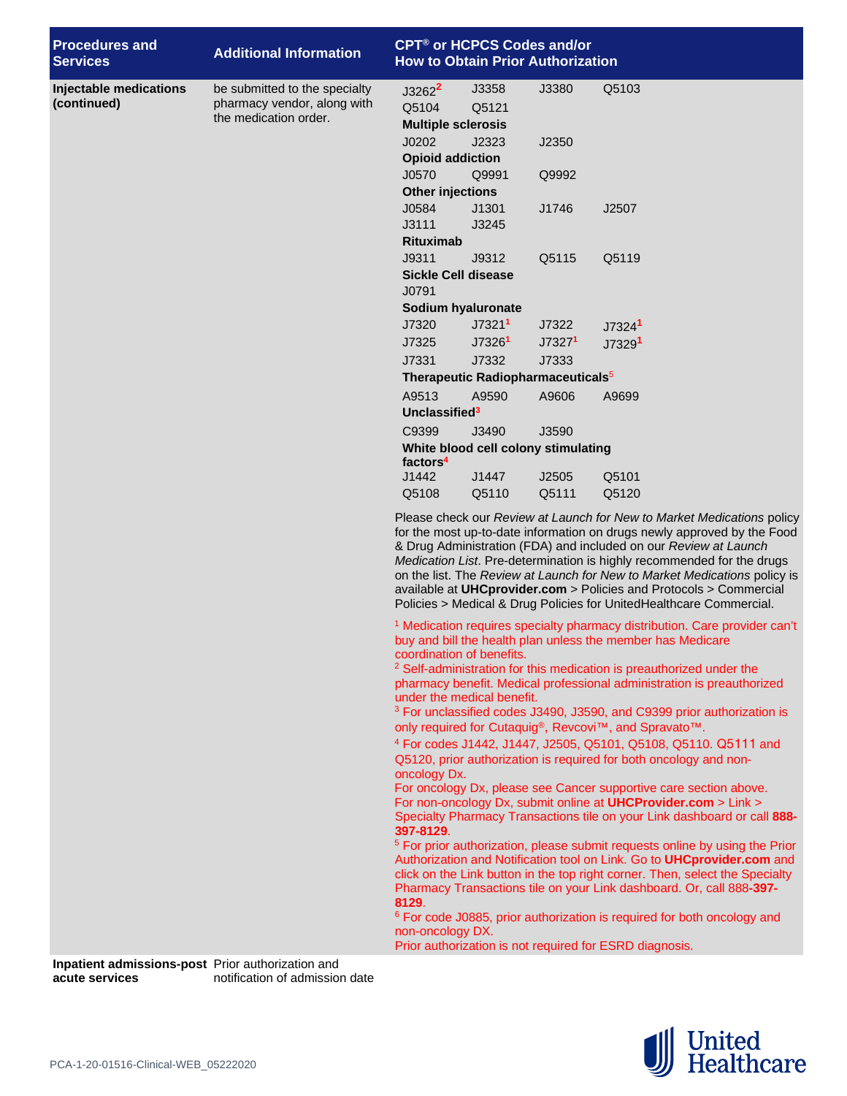| <b>Procedures and</b><br><b>Services</b> | <b>Additional Information</b>                                                         | <b>CPT<sup>®</sup> or HCPCS Codes and/or</b><br><b>How to Obtain Prior Authorization</b>                                                                                                                                                                                                                                                                                                                                                                                                                                                                                                                  |                         |        |                                                                                                                                                                                                                       |  |  |  |
|------------------------------------------|---------------------------------------------------------------------------------------|-----------------------------------------------------------------------------------------------------------------------------------------------------------------------------------------------------------------------------------------------------------------------------------------------------------------------------------------------------------------------------------------------------------------------------------------------------------------------------------------------------------------------------------------------------------------------------------------------------------|-------------------------|--------|-----------------------------------------------------------------------------------------------------------------------------------------------------------------------------------------------------------------------|--|--|--|
| Injectable medications<br>(continued)    | be submitted to the specialty<br>pharmacy vendor, along with<br>the medication order. | $J3262^2$<br>Q5104<br><b>Multiple sclerosis</b>                                                                                                                                                                                                                                                                                                                                                                                                                                                                                                                                                           | J3358<br>Q5121          | J3380  | Q5103                                                                                                                                                                                                                 |  |  |  |
|                                          |                                                                                       | J0202                                                                                                                                                                                                                                                                                                                                                                                                                                                                                                                                                                                                     | J2323                   | J2350  |                                                                                                                                                                                                                       |  |  |  |
|                                          |                                                                                       |                                                                                                                                                                                                                                                                                                                                                                                                                                                                                                                                                                                                           | <b>Opioid addiction</b> |        |                                                                                                                                                                                                                       |  |  |  |
|                                          |                                                                                       | J0570                                                                                                                                                                                                                                                                                                                                                                                                                                                                                                                                                                                                     | Q9991                   | Q9992  |                                                                                                                                                                                                                       |  |  |  |
|                                          |                                                                                       | <b>Other injections</b>                                                                                                                                                                                                                                                                                                                                                                                                                                                                                                                                                                                   |                         |        |                                                                                                                                                                                                                       |  |  |  |
|                                          |                                                                                       | J0584                                                                                                                                                                                                                                                                                                                                                                                                                                                                                                                                                                                                     | J1301                   | J1746  | J2507                                                                                                                                                                                                                 |  |  |  |
|                                          |                                                                                       | J3111                                                                                                                                                                                                                                                                                                                                                                                                                                                                                                                                                                                                     | J3245                   |        |                                                                                                                                                                                                                       |  |  |  |
|                                          |                                                                                       | <b>Rituximab</b>                                                                                                                                                                                                                                                                                                                                                                                                                                                                                                                                                                                          |                         |        |                                                                                                                                                                                                                       |  |  |  |
|                                          |                                                                                       | J9311                                                                                                                                                                                                                                                                                                                                                                                                                                                                                                                                                                                                     | J9312                   | Q5115  | Q5119                                                                                                                                                                                                                 |  |  |  |
|                                          |                                                                                       | <b>Sickle Cell disease</b><br>J0791                                                                                                                                                                                                                                                                                                                                                                                                                                                                                                                                                                       |                         |        |                                                                                                                                                                                                                       |  |  |  |
|                                          |                                                                                       | Sodium hyaluronate                                                                                                                                                                                                                                                                                                                                                                                                                                                                                                                                                                                        |                         |        |                                                                                                                                                                                                                       |  |  |  |
|                                          |                                                                                       | J7320                                                                                                                                                                                                                                                                                                                                                                                                                                                                                                                                                                                                     | J7321 <sup>1</sup>      | J7322  | J7324 <sup>1</sup>                                                                                                                                                                                                    |  |  |  |
|                                          |                                                                                       | J7325                                                                                                                                                                                                                                                                                                                                                                                                                                                                                                                                                                                                     | J7326 <sup>1</sup>      | J73271 | J7329 <sup>1</sup>                                                                                                                                                                                                    |  |  |  |
|                                          |                                                                                       | J7331                                                                                                                                                                                                                                                                                                                                                                                                                                                                                                                                                                                                     | J7332                   | J7333  |                                                                                                                                                                                                                       |  |  |  |
|                                          |                                                                                       | Therapeutic Radiopharmaceuticals <sup>5</sup>                                                                                                                                                                                                                                                                                                                                                                                                                                                                                                                                                             |                         |        |                                                                                                                                                                                                                       |  |  |  |
|                                          |                                                                                       | A9513                                                                                                                                                                                                                                                                                                                                                                                                                                                                                                                                                                                                     | A9590                   | A9606  | A9699                                                                                                                                                                                                                 |  |  |  |
|                                          |                                                                                       | Unclassified <sup>3</sup>                                                                                                                                                                                                                                                                                                                                                                                                                                                                                                                                                                                 |                         |        |                                                                                                                                                                                                                       |  |  |  |
|                                          |                                                                                       | C9399<br>J3490<br>J3590                                                                                                                                                                                                                                                                                                                                                                                                                                                                                                                                                                                   |                         |        |                                                                                                                                                                                                                       |  |  |  |
|                                          |                                                                                       | White blood cell colony stimulating<br>factors <sup>4</sup>                                                                                                                                                                                                                                                                                                                                                                                                                                                                                                                                               |                         |        |                                                                                                                                                                                                                       |  |  |  |
|                                          |                                                                                       | J1442                                                                                                                                                                                                                                                                                                                                                                                                                                                                                                                                                                                                     | J1447                   | J2505  | Q5101                                                                                                                                                                                                                 |  |  |  |
|                                          |                                                                                       | Q5108                                                                                                                                                                                                                                                                                                                                                                                                                                                                                                                                                                                                     | Q5110                   | Q5111  | Q5120                                                                                                                                                                                                                 |  |  |  |
|                                          |                                                                                       | Please check our Review at Launch for New to Market Medications policy<br>for the most up-to-date information on drugs newly approved by the Food<br>& Drug Administration (FDA) and included on our Review at Launch<br>Medication List. Pre-determination is highly recommended for the drugs<br>on the list. The Review at Launch for New to Market Medications policy is<br>available at UHCprovider.com > Policies and Protocols > Commercial<br>Policies > Medical & Drug Policies for UnitedHealthcare Commercial.                                                                                 |                         |        |                                                                                                                                                                                                                       |  |  |  |
|                                          |                                                                                       | <sup>1</sup> Medication requires specialty pharmacy distribution. Care provider can't<br>buy and bill the health plan unless the member has Medicare<br>coordination of benefits.<br><sup>2</sup> Self-administration for this medication is preauthorized under the<br>pharmacy benefit. Medical professional administration is preauthorized<br>under the medical benefit.<br><sup>3</sup> For unclassified codes J3490, J3590, and C9399 prior authorization is<br>only required for Cutaquig®, Revcovi™, and Spravato™.<br><sup>4</sup> For codes J1442, J1447, J2505, Q5101, Q5108, Q5110. Q5111 and |                         |        |                                                                                                                                                                                                                       |  |  |  |
|                                          |                                                                                       | Q5120, prior authorization is required for both oncology and non-<br>oncology Dx.<br>For oncology Dx, please see Cancer supportive care section above.<br>For non-oncology Dx, submit online at <b>UHCProvider.com</b> > Link ><br>Specialty Pharmacy Transactions tile on your Link dashboard or call 888-<br>397-8129.<br><sup>5</sup> For prior authorization, please submit requests online by using the Prior<br>Authorization and Notification tool on Link. Go to UHCprovider.com and<br>click on the Link button in the top right corner. Then, select the Specialty                              |                         |        |                                                                                                                                                                                                                       |  |  |  |
|                                          |                                                                                       | 8129.<br>non-oncology DX.                                                                                                                                                                                                                                                                                                                                                                                                                                                                                                                                                                                 |                         |        | Pharmacy Transactions tile on your Link dashboard. Or, call 888-397-<br><sup>6</sup> For code J0885, prior authorization is required for both oncology and<br>Prior authorization is not required for ESRD diagnosis. |  |  |  |

**Inpatient admissions-post acute services** Prior authorization and notification of admission date

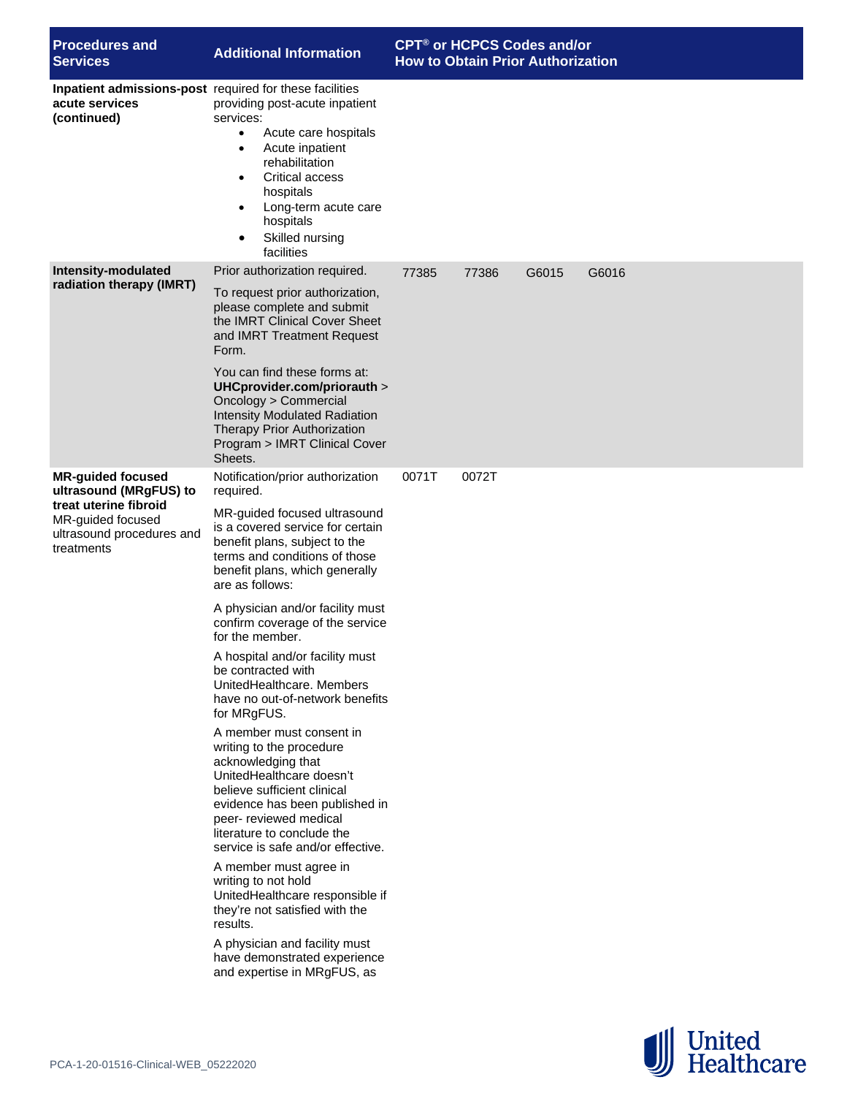| <b>Procedures and</b><br><b>Services</b>                                                                                                    | <b>Additional Information</b>                                                                                                                                                                                                                                                                                                                                                                                                                                                                                                                                                                                                                                                                                                                                                                                                                                                                                                                                                        | CPT <sup>®</sup> or HCPCS Codes and/or<br><b>How to Obtain Prior Authorization</b> |       |       |       |  |
|---------------------------------------------------------------------------------------------------------------------------------------------|--------------------------------------------------------------------------------------------------------------------------------------------------------------------------------------------------------------------------------------------------------------------------------------------------------------------------------------------------------------------------------------------------------------------------------------------------------------------------------------------------------------------------------------------------------------------------------------------------------------------------------------------------------------------------------------------------------------------------------------------------------------------------------------------------------------------------------------------------------------------------------------------------------------------------------------------------------------------------------------|------------------------------------------------------------------------------------|-------|-------|-------|--|
| Inpatient admissions-post required for these facilities<br>acute services<br>(continued)                                                    | providing post-acute inpatient<br>services:<br>Acute care hospitals<br>$\bullet$<br>Acute inpatient<br>$\bullet$<br>rehabilitation<br><b>Critical access</b><br>hospitals<br>Long-term acute care<br>$\bullet$<br>hospitals<br>Skilled nursing<br>$\bullet$<br>facilities                                                                                                                                                                                                                                                                                                                                                                                                                                                                                                                                                                                                                                                                                                            |                                                                                    |       |       |       |  |
| Intensity-modulated<br>radiation therapy (IMRT)                                                                                             | Prior authorization required.<br>To request prior authorization,<br>please complete and submit<br>the IMRT Clinical Cover Sheet<br>and IMRT Treatment Request<br>Form.<br>You can find these forms at:<br>UHCprovider.com/priorauth ><br>Oncology > Commercial<br><b>Intensity Modulated Radiation</b><br>Therapy Prior Authorization<br>Program > IMRT Clinical Cover<br>Sheets.                                                                                                                                                                                                                                                                                                                                                                                                                                                                                                                                                                                                    | 77385                                                                              | 77386 | G6015 | G6016 |  |
| <b>MR-guided focused</b><br>ultrasound (MRgFUS) to<br>treat uterine fibroid<br>MR-guided focused<br>ultrasound procedures and<br>treatments | Notification/prior authorization<br>required.<br>MR-guided focused ultrasound<br>is a covered service for certain<br>benefit plans, subject to the<br>terms and conditions of those<br>benefit plans, which generally<br>are as follows:<br>A physician and/or facility must<br>confirm coverage of the service<br>for the member.<br>A hospital and/or facility must<br>be contracted with<br>UnitedHealthcare. Members<br>have no out-of-network benefits<br>for MRgFUS.<br>A member must consent in<br>writing to the procedure<br>acknowledging that<br>UnitedHealthcare doesn't<br>believe sufficient clinical<br>evidence has been published in<br>peer- reviewed medical<br>literature to conclude the<br>service is safe and/or effective.<br>A member must agree in<br>writing to not hold<br>UnitedHealthcare responsible if<br>they're not satisfied with the<br>results.<br>A physician and facility must<br>have demonstrated experience<br>and expertise in MRgFUS, as | 0071T                                                                              | 0072T |       |       |  |

United<br>
Healthcare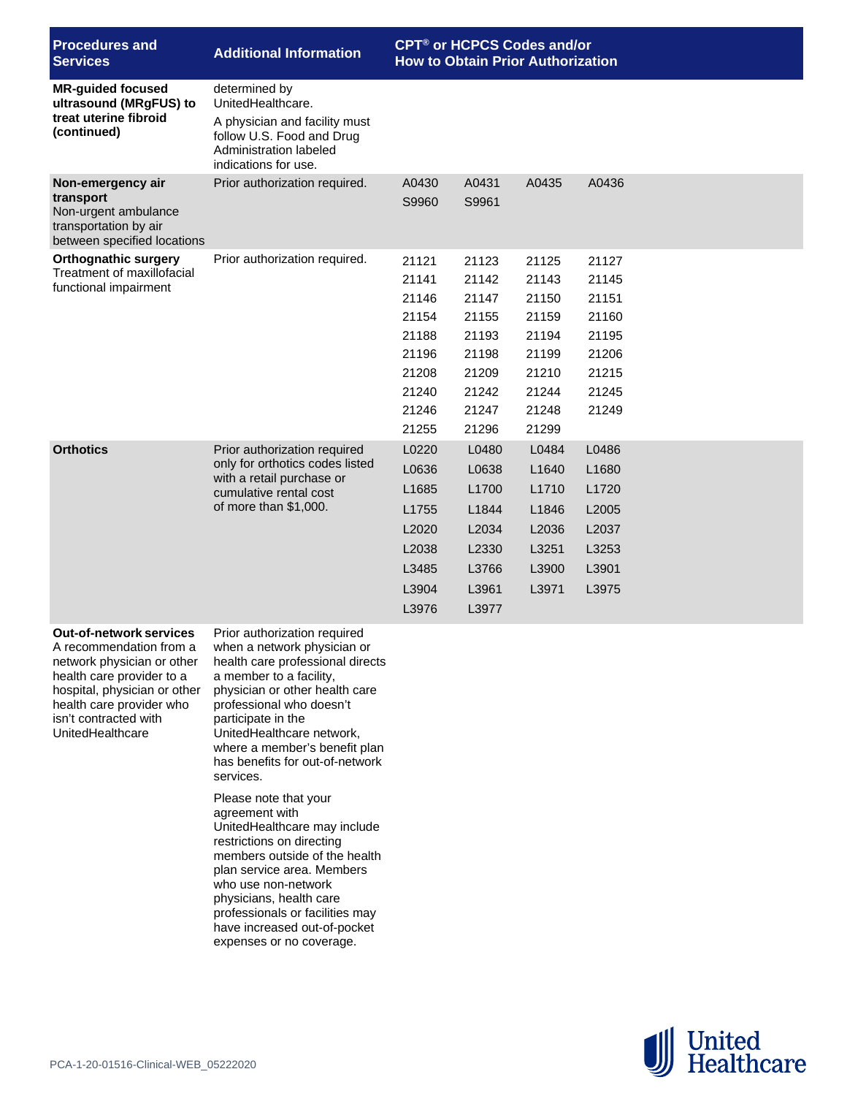| <b>Procedures and</b><br><b>Services</b>                                                                       | <b>Additional Information</b>                                                                                                                      | <b>CPT<sup>®</sup> or HCPCS Codes and/or</b><br><b>How to Obtain Prior Authorization</b> |                                                                                        |                                                                                        |                                                                                  |
|----------------------------------------------------------------------------------------------------------------|----------------------------------------------------------------------------------------------------------------------------------------------------|------------------------------------------------------------------------------------------|----------------------------------------------------------------------------------------|----------------------------------------------------------------------------------------|----------------------------------------------------------------------------------|
| <b>MR-guided focused</b><br>ultrasound (MRgFUS) to<br>treat uterine fibroid<br>(continued)                     | determined by<br>UnitedHealthcare.<br>A physician and facility must<br>follow U.S. Food and Drug<br>Administration labeled<br>indications for use. |                                                                                          |                                                                                        |                                                                                        |                                                                                  |
| Non-emergency air<br>transport<br>Non-urgent ambulance<br>transportation by air<br>between specified locations | Prior authorization required.                                                                                                                      | A0430<br>S9960                                                                           | A0431<br>S9961                                                                         | A0435                                                                                  | A0436                                                                            |
| <b>Orthognathic surgery</b><br>Treatment of maxillofacial<br>functional impairment                             | Prior authorization required.                                                                                                                      | 21121<br>21141<br>21146<br>21154<br>21188<br>21196<br>21208<br>21240<br>21246<br>21255   | 21123<br>21142<br>21147<br>21155<br>21193<br>21198<br>21209<br>21242<br>21247<br>21296 | 21125<br>21143<br>21150<br>21159<br>21194<br>21199<br>21210<br>21244<br>21248<br>21299 | 21127<br>21145<br>21151<br>21160<br>21195<br>21206<br>21215<br>21245<br>21249    |
| <b>Orthotics</b>                                                                                               | Prior authorization required<br>only for orthotics codes listed<br>with a retail purchase or<br>cumulative rental cost<br>of more than \$1,000.    | L0220<br>L0636<br>L1685<br>L1755<br>L2020<br>L2038<br>L3485<br>L3904<br>L3976            | L0480<br>L0638<br>L1700<br>L1844<br>L2034<br>L2330<br>L3766<br>L3961<br>L3977          | L0484<br>L <sub>1640</sub><br>L1710<br>L1846<br>L2036<br>L3251<br>L3900<br>L3971       | L0486<br>L <sub>1680</sub><br>L1720<br>L2005<br>L2037<br>L3253<br>L3901<br>L3975 |
| <b>Out-of-network services</b><br>A recommendation from a                                                      | Prior authorization required<br>when a network physician or                                                                                        |                                                                                          |                                                                                        |                                                                                        |                                                                                  |

A recommendation from a network physician or other health care provider to a hospital, physician or other health care provider who isn't contracted with UnitedHealthcare

when a network physician or health care professional directs a member to a facility, physician or other health care professional who doesn't participate in the UnitedHealthcare network, where a member's benefit plan has benefits for out-of-network services.

Please note that your agreement with UnitedHealthcare may include restrictions on directing members outside of the health plan service area. Members who use non-network physicians, health care professionals or facilities may have increased out-of-pocket expenses or no coverage.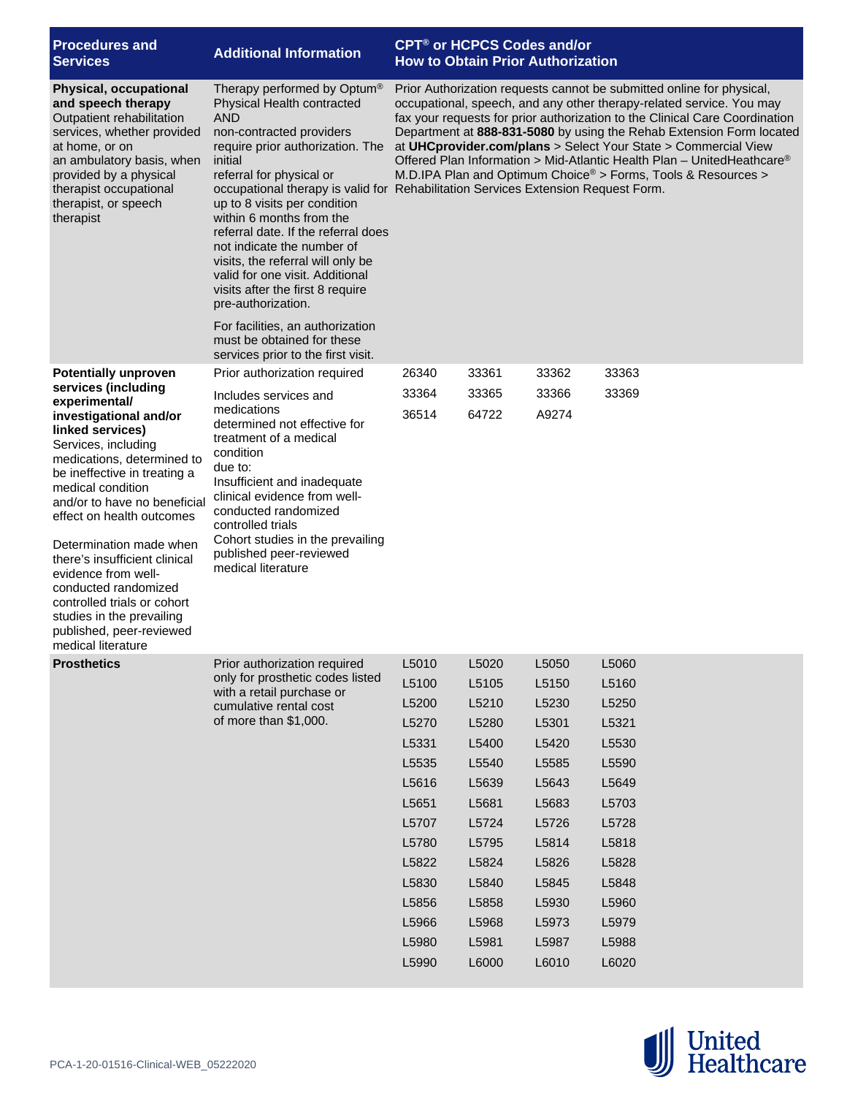| <b>Procedures and</b><br><b>Services</b>                                                                                                                                                                                                                                                                                                                                                                                                                                           | <b>Additional Information</b>                                                                                                                                                                                                                                                                                                                                                                                                                                                                                                                      | <b>CPT<sup>®</sup> or HCPCS Codes and/or</b><br><b>How to Obtain Prior Authorization</b>                                                                                                                                                                                                                                                                                                                                                                                                                                                                                                               |                |                |                |  |  |
|------------------------------------------------------------------------------------------------------------------------------------------------------------------------------------------------------------------------------------------------------------------------------------------------------------------------------------------------------------------------------------------------------------------------------------------------------------------------------------|----------------------------------------------------------------------------------------------------------------------------------------------------------------------------------------------------------------------------------------------------------------------------------------------------------------------------------------------------------------------------------------------------------------------------------------------------------------------------------------------------------------------------------------------------|--------------------------------------------------------------------------------------------------------------------------------------------------------------------------------------------------------------------------------------------------------------------------------------------------------------------------------------------------------------------------------------------------------------------------------------------------------------------------------------------------------------------------------------------------------------------------------------------------------|----------------|----------------|----------------|--|--|
| <b>Physical, occupational</b><br>and speech therapy<br>Outpatient rehabilitation<br>services, whether provided<br>at home, or on<br>an ambulatory basis, when<br>provided by a physical<br>therapist occupational<br>therapist, or speech<br>therapist                                                                                                                                                                                                                             | Therapy performed by Optum®<br>Physical Health contracted<br>AND<br>non-contracted providers<br>require prior authorization. The<br>initial<br>referral for physical or<br>up to 8 visits per condition<br>within 6 months from the<br>referral date. If the referral does<br>not indicate the number of<br>visits, the referral will only be<br>valid for one visit. Additional<br>visits after the first 8 require<br>pre-authorization.<br>For facilities, an authorization<br>must be obtained for these<br>services prior to the first visit. | Prior Authorization requests cannot be submitted online for physical,<br>occupational, speech, and any other therapy-related service. You may<br>fax your requests for prior authorization to the Clinical Care Coordination<br>Department at 888-831-5080 by using the Rehab Extension Form located<br>at UHCprovider.com/plans > Select Your State > Commercial View<br>Offered Plan Information > Mid-Atlantic Health Plan - UnitedHeathcare®<br>M.D.IPA Plan and Optimum Choice® > Forms, Tools & Resources ><br>occupational therapy is valid for Rehabilitation Services Extension Request Form. |                |                |                |  |  |
| <b>Potentially unproven</b>                                                                                                                                                                                                                                                                                                                                                                                                                                                        | Prior authorization required                                                                                                                                                                                                                                                                                                                                                                                                                                                                                                                       | 26340                                                                                                                                                                                                                                                                                                                                                                                                                                                                                                                                                                                                  | 33361          | 33362          | 33363          |  |  |
| services (including<br>experimental/<br>investigational and/or<br>linked services)<br>Services, including<br>medications, determined to<br>be ineffective in treating a<br>medical condition<br>and/or to have no beneficial<br>effect on health outcomes<br>Determination made when<br>there's insufficient clinical<br>evidence from well-<br>conducted randomized<br>controlled trials or cohort<br>studies in the prevailing<br>published, peer-reviewed<br>medical literature | Includes services and<br>medications<br>determined not effective for<br>treatment of a medical<br>condition<br>due to:<br>Insufficient and inadequate<br>clinical evidence from well-<br>conducted randomized<br>controlled trials<br>Cohort studies in the prevailing<br>published peer-reviewed<br>medical literature                                                                                                                                                                                                                            | 33364<br>36514                                                                                                                                                                                                                                                                                                                                                                                                                                                                                                                                                                                         | 33365<br>64722 | 33366<br>A9274 | 33369          |  |  |
| <b>Prosthetics</b>                                                                                                                                                                                                                                                                                                                                                                                                                                                                 | Prior authorization required                                                                                                                                                                                                                                                                                                                                                                                                                                                                                                                       | L5010                                                                                                                                                                                                                                                                                                                                                                                                                                                                                                                                                                                                  | L5020          | L5050          | L5060          |  |  |
|                                                                                                                                                                                                                                                                                                                                                                                                                                                                                    | only for prosthetic codes listed<br>with a retail purchase or                                                                                                                                                                                                                                                                                                                                                                                                                                                                                      | L5100                                                                                                                                                                                                                                                                                                                                                                                                                                                                                                                                                                                                  | L5105          | L5150          | L5160          |  |  |
|                                                                                                                                                                                                                                                                                                                                                                                                                                                                                    | cumulative rental cost                                                                                                                                                                                                                                                                                                                                                                                                                                                                                                                             | L5200                                                                                                                                                                                                                                                                                                                                                                                                                                                                                                                                                                                                  | L5210          | L5230          | L5250          |  |  |
|                                                                                                                                                                                                                                                                                                                                                                                                                                                                                    | of more than \$1,000.                                                                                                                                                                                                                                                                                                                                                                                                                                                                                                                              | L5270                                                                                                                                                                                                                                                                                                                                                                                                                                                                                                                                                                                                  | L5280          | L5301          | L5321          |  |  |
|                                                                                                                                                                                                                                                                                                                                                                                                                                                                                    |                                                                                                                                                                                                                                                                                                                                                                                                                                                                                                                                                    | L5331                                                                                                                                                                                                                                                                                                                                                                                                                                                                                                                                                                                                  | L5400          | L5420          | L5530          |  |  |
|                                                                                                                                                                                                                                                                                                                                                                                                                                                                                    |                                                                                                                                                                                                                                                                                                                                                                                                                                                                                                                                                    | L5535                                                                                                                                                                                                                                                                                                                                                                                                                                                                                                                                                                                                  | L5540          | L5585          | L5590          |  |  |
|                                                                                                                                                                                                                                                                                                                                                                                                                                                                                    |                                                                                                                                                                                                                                                                                                                                                                                                                                                                                                                                                    | L5616                                                                                                                                                                                                                                                                                                                                                                                                                                                                                                                                                                                                  | L5639          | L5643          | L5649          |  |  |
|                                                                                                                                                                                                                                                                                                                                                                                                                                                                                    |                                                                                                                                                                                                                                                                                                                                                                                                                                                                                                                                                    | L5651                                                                                                                                                                                                                                                                                                                                                                                                                                                                                                                                                                                                  | L5681          | L5683          | L5703          |  |  |
|                                                                                                                                                                                                                                                                                                                                                                                                                                                                                    |                                                                                                                                                                                                                                                                                                                                                                                                                                                                                                                                                    | L5707                                                                                                                                                                                                                                                                                                                                                                                                                                                                                                                                                                                                  | L5724          | L5726          | L5728          |  |  |
|                                                                                                                                                                                                                                                                                                                                                                                                                                                                                    |                                                                                                                                                                                                                                                                                                                                                                                                                                                                                                                                                    | L5780                                                                                                                                                                                                                                                                                                                                                                                                                                                                                                                                                                                                  | L5795          | L5814          | L5818          |  |  |
|                                                                                                                                                                                                                                                                                                                                                                                                                                                                                    |                                                                                                                                                                                                                                                                                                                                                                                                                                                                                                                                                    | L5822                                                                                                                                                                                                                                                                                                                                                                                                                                                                                                                                                                                                  | L5824          | L5826          | L5828          |  |  |
|                                                                                                                                                                                                                                                                                                                                                                                                                                                                                    |                                                                                                                                                                                                                                                                                                                                                                                                                                                                                                                                                    | L5830<br>L5856                                                                                                                                                                                                                                                                                                                                                                                                                                                                                                                                                                                         | L5840<br>L5858 | L5845<br>L5930 | L5848<br>L5960 |  |  |
|                                                                                                                                                                                                                                                                                                                                                                                                                                                                                    |                                                                                                                                                                                                                                                                                                                                                                                                                                                                                                                                                    | L5966                                                                                                                                                                                                                                                                                                                                                                                                                                                                                                                                                                                                  | L5968          | L5973          | L5979          |  |  |
|                                                                                                                                                                                                                                                                                                                                                                                                                                                                                    |                                                                                                                                                                                                                                                                                                                                                                                                                                                                                                                                                    | L5980                                                                                                                                                                                                                                                                                                                                                                                                                                                                                                                                                                                                  | L5981          | L5987          | L5988          |  |  |
|                                                                                                                                                                                                                                                                                                                                                                                                                                                                                    |                                                                                                                                                                                                                                                                                                                                                                                                                                                                                                                                                    | L5990                                                                                                                                                                                                                                                                                                                                                                                                                                                                                                                                                                                                  | L6000          | L6010          | L6020          |  |  |
|                                                                                                                                                                                                                                                                                                                                                                                                                                                                                    |                                                                                                                                                                                                                                                                                                                                                                                                                                                                                                                                                    |                                                                                                                                                                                                                                                                                                                                                                                                                                                                                                                                                                                                        |                |                |                |  |  |

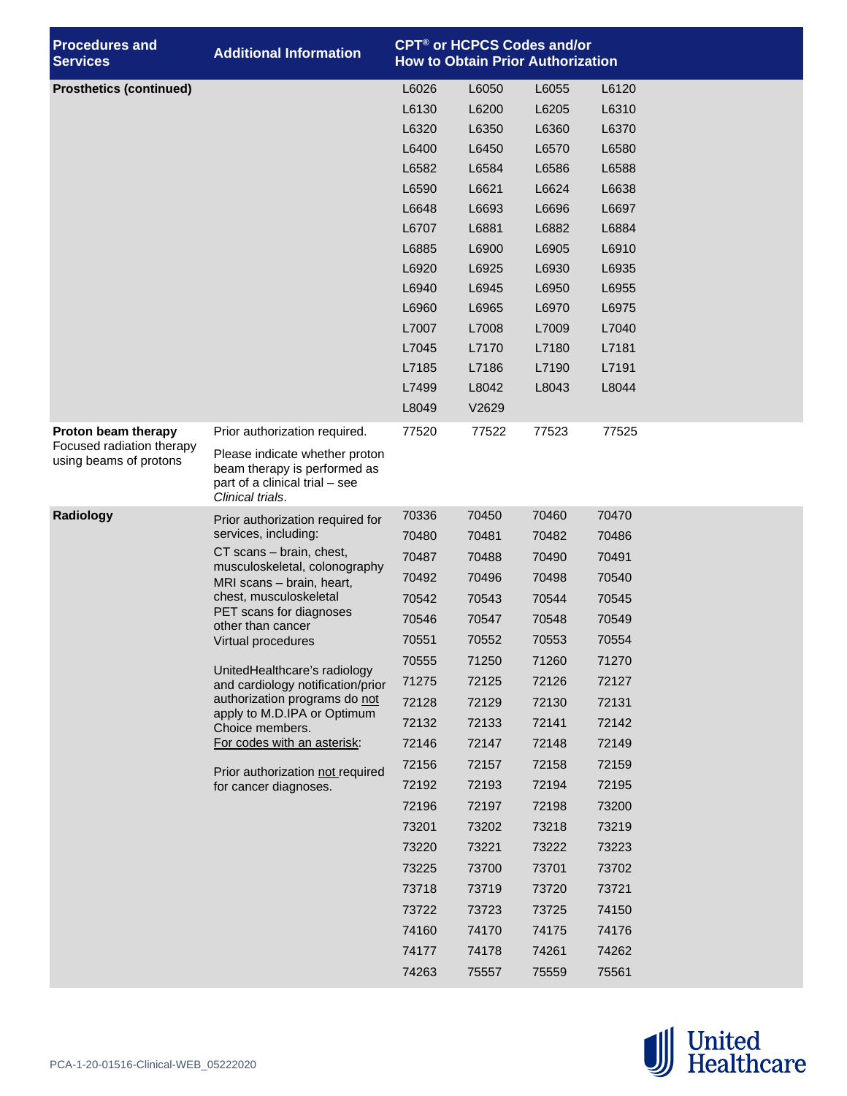| <b>Procedures and</b><br><b>Services</b>                                   | <b>Additional Information</b>                                                                                                                                                                                                                                                                                                                                                                                                             | <b>CPT<sup>®</sup> or HCPCS Codes and/or</b><br><b>How to Obtain Prior Authorization</b> |                |                |                |  |
|----------------------------------------------------------------------------|-------------------------------------------------------------------------------------------------------------------------------------------------------------------------------------------------------------------------------------------------------------------------------------------------------------------------------------------------------------------------------------------------------------------------------------------|------------------------------------------------------------------------------------------|----------------|----------------|----------------|--|
| <b>Prosthetics (continued)</b>                                             |                                                                                                                                                                                                                                                                                                                                                                                                                                           | L6026                                                                                    | L6050          | L6055          | L6120          |  |
|                                                                            |                                                                                                                                                                                                                                                                                                                                                                                                                                           | L6130                                                                                    | L6200          | L6205          | L6310          |  |
|                                                                            |                                                                                                                                                                                                                                                                                                                                                                                                                                           | L6320                                                                                    | L6350          | L6360          | L6370          |  |
|                                                                            |                                                                                                                                                                                                                                                                                                                                                                                                                                           | L6400                                                                                    | L6450          | L6570          | L6580          |  |
|                                                                            |                                                                                                                                                                                                                                                                                                                                                                                                                                           | L6582                                                                                    | L6584          | L6586          | L6588          |  |
|                                                                            |                                                                                                                                                                                                                                                                                                                                                                                                                                           | L6590                                                                                    | L6621          | L6624          | L6638          |  |
|                                                                            |                                                                                                                                                                                                                                                                                                                                                                                                                                           | L6648                                                                                    | L6693          | L6696          | L6697          |  |
|                                                                            |                                                                                                                                                                                                                                                                                                                                                                                                                                           | L6707                                                                                    | L6881          | L6882          | L6884          |  |
|                                                                            |                                                                                                                                                                                                                                                                                                                                                                                                                                           | L6885                                                                                    | L6900          | L6905          | L6910          |  |
|                                                                            |                                                                                                                                                                                                                                                                                                                                                                                                                                           | L6920                                                                                    | L6925          | L6930          | L6935          |  |
|                                                                            |                                                                                                                                                                                                                                                                                                                                                                                                                                           | L6940                                                                                    | L6945          | L6950          | L6955          |  |
|                                                                            |                                                                                                                                                                                                                                                                                                                                                                                                                                           | L6960                                                                                    | L6965          | L6970          | L6975          |  |
|                                                                            |                                                                                                                                                                                                                                                                                                                                                                                                                                           | L7007                                                                                    | L7008          | L7009          | L7040          |  |
|                                                                            |                                                                                                                                                                                                                                                                                                                                                                                                                                           | L7045                                                                                    | L7170          | L7180          | L7181          |  |
|                                                                            |                                                                                                                                                                                                                                                                                                                                                                                                                                           | L7185                                                                                    | L7186          | L7190          | L7191          |  |
|                                                                            |                                                                                                                                                                                                                                                                                                                                                                                                                                           | L7499                                                                                    | L8042          | L8043          | L8044          |  |
|                                                                            |                                                                                                                                                                                                                                                                                                                                                                                                                                           | L8049                                                                                    | V2629          |                |                |  |
| Proton beam therapy<br>Focused radiation therapy<br>using beams of protons | Prior authorization required.<br>Please indicate whether proton<br>beam therapy is performed as<br>part of a clinical trial - see<br>Clinical trials.                                                                                                                                                                                                                                                                                     | 77520                                                                                    | 77522          | 77523          | 77525          |  |
| Radiology                                                                  | Prior authorization required for<br>services, including:<br>CT scans - brain, chest,<br>musculoskeletal, colonography<br>MRI scans - brain, heart,<br>chest, musculoskeletal<br>PET scans for diagnoses<br>other than cancer<br>Virtual procedures<br>UnitedHealthcare's radiology<br>and cardiology notification/prior<br>authorization programs do not<br>apply to M.D.IPA or Optimum<br>Choice members.<br>For codes with an asterisk: | 70336                                                                                    | 70450          | 70460          | 70470          |  |
|                                                                            |                                                                                                                                                                                                                                                                                                                                                                                                                                           | 70480                                                                                    | 70481          | 70482          | 70486          |  |
|                                                                            |                                                                                                                                                                                                                                                                                                                                                                                                                                           | 70487                                                                                    | 70488          | 70490          | 70491          |  |
|                                                                            |                                                                                                                                                                                                                                                                                                                                                                                                                                           | 70492                                                                                    | 70496          | 70498          | 70540          |  |
|                                                                            |                                                                                                                                                                                                                                                                                                                                                                                                                                           | 70542                                                                                    | 70543          | 70544          | 70545          |  |
|                                                                            |                                                                                                                                                                                                                                                                                                                                                                                                                                           | 70546                                                                                    | 70547          | 70548          | 70549          |  |
|                                                                            |                                                                                                                                                                                                                                                                                                                                                                                                                                           | 70551                                                                                    | 70552          | 70553          | 70554          |  |
|                                                                            |                                                                                                                                                                                                                                                                                                                                                                                                                                           | 70555                                                                                    | 71250          | 71260          | 71270          |  |
|                                                                            |                                                                                                                                                                                                                                                                                                                                                                                                                                           | 71275                                                                                    | 72125          | 72126          | 72127          |  |
|                                                                            |                                                                                                                                                                                                                                                                                                                                                                                                                                           | 72128                                                                                    | 72129          | 72130          | 72131          |  |
|                                                                            |                                                                                                                                                                                                                                                                                                                                                                                                                                           | 72132                                                                                    | 72133          | 72141          | 72142          |  |
|                                                                            |                                                                                                                                                                                                                                                                                                                                                                                                                                           | 72146                                                                                    | 72147          | 72148          | 72149          |  |
|                                                                            |                                                                                                                                                                                                                                                                                                                                                                                                                                           | 72156                                                                                    | 72157          | 72158          | 72159          |  |
|                                                                            | Prior authorization not required<br>for cancer diagnoses.                                                                                                                                                                                                                                                                                                                                                                                 | 72192                                                                                    | 72193          | 72194          | 72195          |  |
|                                                                            |                                                                                                                                                                                                                                                                                                                                                                                                                                           | 72196                                                                                    | 72197          | 72198          | 73200          |  |
|                                                                            |                                                                                                                                                                                                                                                                                                                                                                                                                                           | 73201                                                                                    | 73202          | 73218          | 73219          |  |
|                                                                            |                                                                                                                                                                                                                                                                                                                                                                                                                                           | 73220                                                                                    | 73221          | 73222          | 73223          |  |
|                                                                            |                                                                                                                                                                                                                                                                                                                                                                                                                                           | 73225                                                                                    | 73700          | 73701          | 73702          |  |
|                                                                            |                                                                                                                                                                                                                                                                                                                                                                                                                                           | 73718                                                                                    | 73719          | 73720          | 73721          |  |
|                                                                            |                                                                                                                                                                                                                                                                                                                                                                                                                                           | 73722                                                                                    | 73723          | 73725          | 74150          |  |
|                                                                            |                                                                                                                                                                                                                                                                                                                                                                                                                                           |                                                                                          |                |                |                |  |
|                                                                            |                                                                                                                                                                                                                                                                                                                                                                                                                                           |                                                                                          |                |                |                |  |
|                                                                            |                                                                                                                                                                                                                                                                                                                                                                                                                                           | 74160<br>74177                                                                           | 74170<br>74178 | 74175<br>74261 | 74176<br>74262 |  |

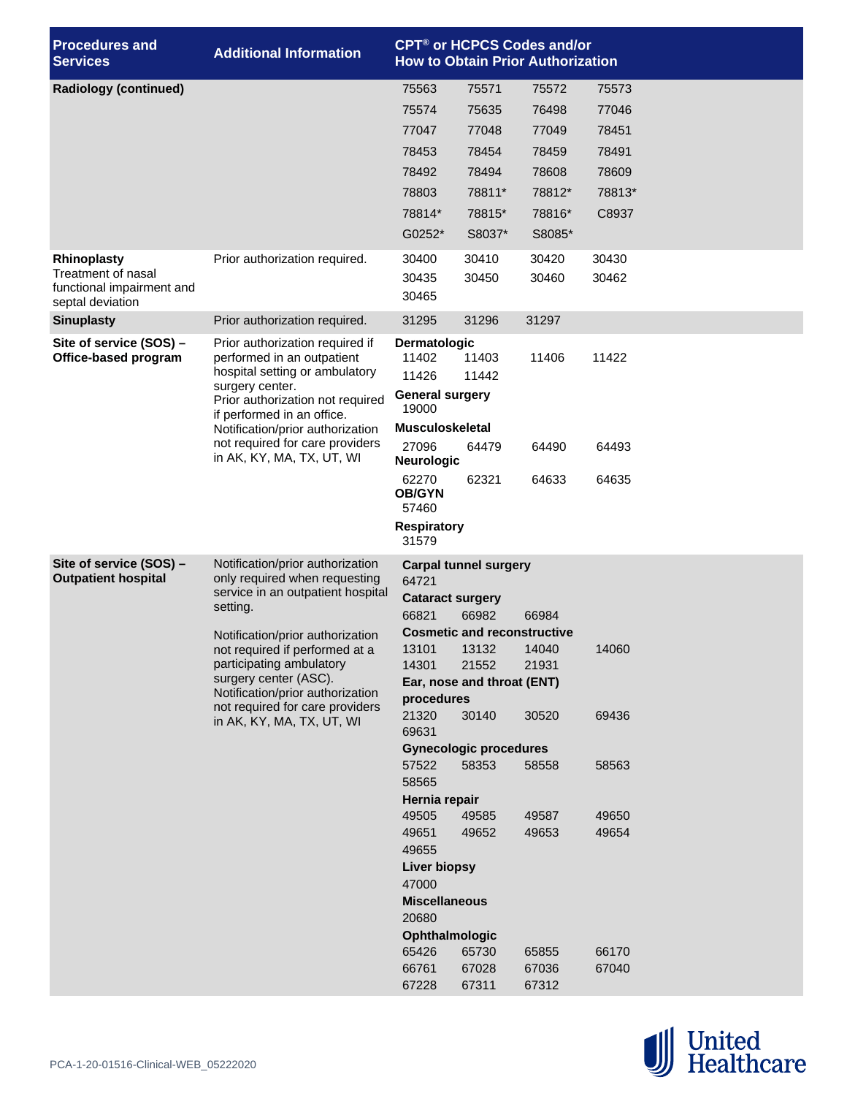| <b>Procedures and</b><br><b>Services</b>        | <b>Additional Information</b>                                                                                                                                                           |                                                             |                                    | CPT <sup>®</sup> or HCPCS Codes and/or<br><b>How to Obtain Prior Authorization</b> |        |  |  |
|-------------------------------------------------|-----------------------------------------------------------------------------------------------------------------------------------------------------------------------------------------|-------------------------------------------------------------|------------------------------------|------------------------------------------------------------------------------------|--------|--|--|
| <b>Radiology (continued)</b>                    |                                                                                                                                                                                         | 75563                                                       | 75571                              | 75572                                                                              | 75573  |  |  |
|                                                 |                                                                                                                                                                                         | 75574                                                       | 75635                              | 76498                                                                              | 77046  |  |  |
|                                                 |                                                                                                                                                                                         | 77047                                                       | 77048                              | 77049                                                                              | 78451  |  |  |
|                                                 |                                                                                                                                                                                         | 78453                                                       | 78454                              | 78459                                                                              | 78491  |  |  |
|                                                 |                                                                                                                                                                                         | 78492                                                       | 78494                              | 78608                                                                              | 78609  |  |  |
|                                                 |                                                                                                                                                                                         | 78803                                                       | 78811*                             | 78812*                                                                             | 78813* |  |  |
|                                                 |                                                                                                                                                                                         | 78814*                                                      | 78815*                             | 78816*                                                                             | C8937  |  |  |
|                                                 |                                                                                                                                                                                         | G0252*                                                      | S8037*                             | S8085*                                                                             |        |  |  |
| <b>Rhinoplasty</b>                              | Prior authorization required.                                                                                                                                                           | 30400                                                       | 30410                              | 30420                                                                              | 30430  |  |  |
| Treatment of nasal<br>functional impairment and |                                                                                                                                                                                         | 30435                                                       | 30450                              | 30460                                                                              | 30462  |  |  |
| septal deviation                                |                                                                                                                                                                                         | 30465                                                       |                                    |                                                                                    |        |  |  |
| <b>Sinuplasty</b>                               | Prior authorization required.                                                                                                                                                           | 31295                                                       | 31296                              | 31297                                                                              |        |  |  |
| Site of service (SOS) -<br>Office-based program | Prior authorization required if<br>performed in an outpatient                                                                                                                           | <b>Dermatologic</b><br>11402                                | 11403                              | 11406                                                                              | 11422  |  |  |
|                                                 | hospital setting or ambulatory                                                                                                                                                          | 11426                                                       | 11442                              |                                                                                    |        |  |  |
|                                                 | surgery center.<br>Prior authorization not required                                                                                                                                     | <b>General surgery</b>                                      |                                    |                                                                                    |        |  |  |
|                                                 | if performed in an office.                                                                                                                                                              | 19000<br><b>Musculoskeletal</b>                             |                                    |                                                                                    |        |  |  |
|                                                 | Notification/prior authorization<br>not required for care providers<br>in AK, KY, MA, TX, UT, WI                                                                                        | 27096                                                       | 64479                              | 64490                                                                              | 64493  |  |  |
|                                                 |                                                                                                                                                                                         | <b>Neurologic</b><br>62270                                  | 62321                              | 64633                                                                              | 64635  |  |  |
|                                                 |                                                                                                                                                                                         | <b>OB/GYN</b><br>57460                                      |                                    |                                                                                    |        |  |  |
|                                                 |                                                                                                                                                                                         | <b>Respiratory</b><br>31579                                 |                                    |                                                                                    |        |  |  |
| Site of service (SOS) -                         | Notification/prior authorization                                                                                                                                                        | <b>Carpal tunnel surgery</b>                                |                                    |                                                                                    |        |  |  |
| <b>Outpatient hospital</b>                      | only required when requesting<br>service in an outpatient hospital                                                                                                                      | 64721<br><b>Cataract surgery</b><br>66821<br>66982<br>66984 |                                    |                                                                                    |        |  |  |
|                                                 | setting.                                                                                                                                                                                |                                                             |                                    |                                                                                    |        |  |  |
|                                                 | Notification/prior authorization                                                                                                                                                        |                                                             | <b>Cosmetic and reconstructive</b> |                                                                                    |        |  |  |
|                                                 | not required if performed at a<br>participating ambulatory<br>surgery center (ASC).<br>Notification/prior authorization<br>not required for care providers<br>in AK, KY, MA, TX, UT, WI | 13101                                                       | 13132 14040                        |                                                                                    | 14060  |  |  |
|                                                 |                                                                                                                                                                                         | 14301                                                       | 21552                              | 21931                                                                              |        |  |  |
|                                                 |                                                                                                                                                                                         | Ear, nose and throat (ENT)<br>procedures                    |                                    |                                                                                    |        |  |  |
|                                                 |                                                                                                                                                                                         | 21320                                                       | 30140                              | 30520                                                                              | 69436  |  |  |
|                                                 |                                                                                                                                                                                         | 69631                                                       |                                    |                                                                                    |        |  |  |
|                                                 |                                                                                                                                                                                         |                                                             | <b>Gynecologic procedures</b>      |                                                                                    |        |  |  |
|                                                 |                                                                                                                                                                                         | 57522<br>58565                                              | 58353                              | 58558                                                                              | 58563  |  |  |
|                                                 |                                                                                                                                                                                         | Hernia repair                                               |                                    |                                                                                    |        |  |  |
|                                                 |                                                                                                                                                                                         | 49505                                                       | 49585                              | 49587                                                                              | 49650  |  |  |
|                                                 |                                                                                                                                                                                         | 49651                                                       | 49652                              | 49653                                                                              | 49654  |  |  |
|                                                 |                                                                                                                                                                                         | 49655<br><b>Liver biopsy</b>                                |                                    |                                                                                    |        |  |  |
|                                                 |                                                                                                                                                                                         | 47000                                                       |                                    |                                                                                    |        |  |  |
|                                                 |                                                                                                                                                                                         | <b>Miscellaneous</b>                                        |                                    |                                                                                    |        |  |  |
|                                                 |                                                                                                                                                                                         | 20680                                                       |                                    |                                                                                    |        |  |  |
|                                                 |                                                                                                                                                                                         | Ophthalmologic<br>65426                                     | 65730                              | 65855                                                                              | 66170  |  |  |
|                                                 |                                                                                                                                                                                         | 66761                                                       | 67028                              | 67036                                                                              | 67040  |  |  |
|                                                 |                                                                                                                                                                                         | 67228                                                       | 67311                              | 67312                                                                              |        |  |  |

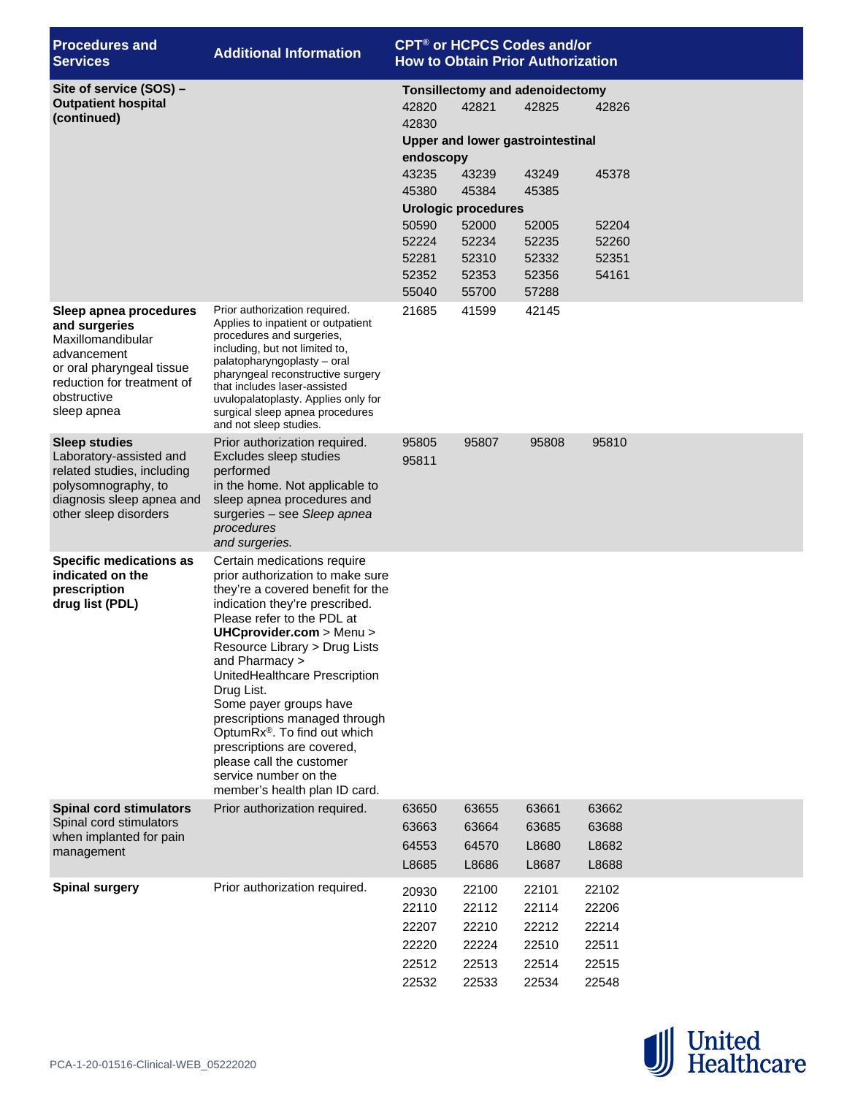| <b>Procedures and</b><br><b>Services</b>                                                                                                                             | <b>Additional Information</b>                                                                                                                                                                                                                                                                                                                                                                                                                                                                                                 |                                                                                            | CPT <sup>®</sup> or HCPCS Codes and/or<br><b>How to Obtain Prior Authorization</b>                                                                                                      |                                                                      |                                                    |  |
|----------------------------------------------------------------------------------------------------------------------------------------------------------------------|-------------------------------------------------------------------------------------------------------------------------------------------------------------------------------------------------------------------------------------------------------------------------------------------------------------------------------------------------------------------------------------------------------------------------------------------------------------------------------------------------------------------------------|--------------------------------------------------------------------------------------------|-----------------------------------------------------------------------------------------------------------------------------------------------------------------------------------------|----------------------------------------------------------------------|----------------------------------------------------|--|
| Site of service (SOS) -<br><b>Outpatient hospital</b><br>(continued)                                                                                                 |                                                                                                                                                                                                                                                                                                                                                                                                                                                                                                                               | 42820<br>42830<br>endoscopy<br>43235<br>45380<br>50590<br>52224<br>52281<br>52352<br>55040 | <b>Tonsillectomy and adenoidectomy</b><br>42821<br><b>Upper and lower gastrointestinal</b><br>43239<br>45384<br><b>Urologic procedures</b><br>52000<br>52234<br>52310<br>52353<br>55700 | 42825<br>43249<br>45385<br>52005<br>52235<br>52332<br>52356<br>57288 | 42826<br>45378<br>52204<br>52260<br>52351<br>54161 |  |
| Sleep apnea procedures<br>and surgeries<br>Maxillomandibular<br>advancement<br>or oral pharyngeal tissue<br>reduction for treatment of<br>obstructive<br>sleep apnea | Prior authorization required.<br>Applies to inpatient or outpatient<br>procedures and surgeries,<br>including, but not limited to,<br>palatopharyngoplasty - oral<br>pharyngeal reconstructive surgery<br>that includes laser-assisted<br>uvulopalatoplasty. Applies only for<br>surgical sleep apnea procedures<br>and not sleep studies.                                                                                                                                                                                    | 21685                                                                                      | 41599                                                                                                                                                                                   | 42145                                                                |                                                    |  |
| <b>Sleep studies</b><br>Laboratory-assisted and<br>related studies, including<br>polysomnography, to<br>diagnosis sleep apnea and<br>other sleep disorders           | Prior authorization required.<br>Excludes sleep studies<br>performed<br>in the home. Not applicable to<br>sleep apnea procedures and<br>surgeries - see Sleep apnea<br>procedures<br>and surgeries.                                                                                                                                                                                                                                                                                                                           | 95805<br>95811                                                                             | 95807                                                                                                                                                                                   | 95808                                                                | 95810                                              |  |
| Specific medications as<br>indicated on the<br>prescription<br>drug list (PDL)                                                                                       | Certain medications require<br>prior authorization to make sure<br>they're a covered benefit for the<br>indication they're prescribed.<br>Please refer to the PDL at<br>UHCprovider.com > Menu ><br>Resource Library > Drug Lists<br>and Pharmacy ><br>UnitedHealthcare Prescription<br>Drug List.<br>Some payer groups have<br>prescriptions managed through<br>OptumRx <sup>®</sup> . To find out which<br>prescriptions are covered,<br>please call the customer<br>service number on the<br>member's health plan ID card. |                                                                                            |                                                                                                                                                                                         |                                                                      |                                                    |  |
| <b>Spinal cord stimulators</b><br>Spinal cord stimulators<br>when implanted for pain<br>management                                                                   | Prior authorization required.                                                                                                                                                                                                                                                                                                                                                                                                                                                                                                 | 63650<br>63663<br>64553<br>L8685                                                           | 63655<br>63664<br>64570<br>L8686                                                                                                                                                        | 63661<br>63685<br>L8680<br>L8687                                     | 63662<br>63688<br>L8682<br>L8688                   |  |
| <b>Spinal surgery</b>                                                                                                                                                | Prior authorization required.                                                                                                                                                                                                                                                                                                                                                                                                                                                                                                 | 20930<br>22110<br>22207<br>22220<br>22512<br>22532                                         | 22100<br>22112<br>22210<br>22224<br>22513<br>22533                                                                                                                                      | 22101<br>22114<br>22212<br>22510<br>22514<br>22534                   | 22102<br>22206<br>22214<br>22511<br>22515<br>22548 |  |

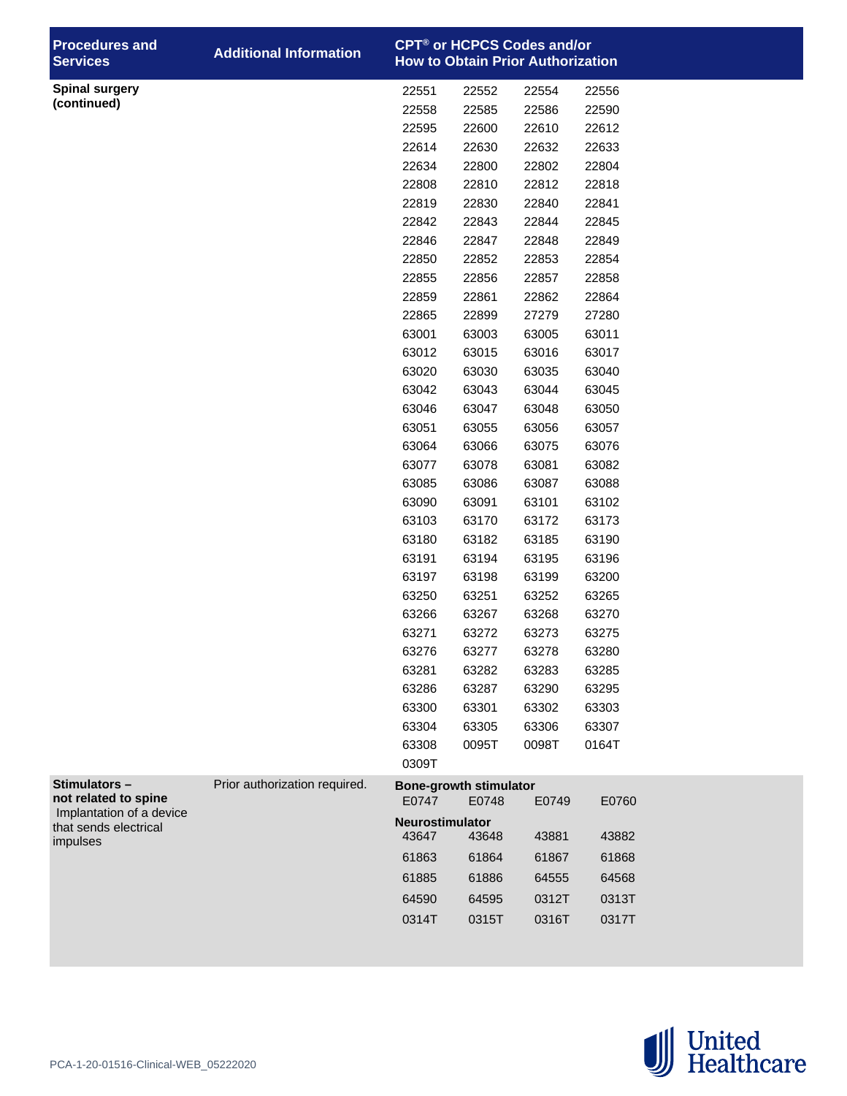| <b>Procedures and</b><br><b>Services</b> | <b>Additional Information</b> |                 |                                        | <b>CPT<sup>®</sup> or HCPCS Codes and/or</b><br><b>How to Obtain Prior Authorization</b> |                |  |
|------------------------------------------|-------------------------------|-----------------|----------------------------------------|------------------------------------------------------------------------------------------|----------------|--|
| <b>Spinal surgery</b>                    |                               | 22551           | 22552                                  | 22554                                                                                    | 22556          |  |
| (continued)                              |                               | 22558           | 22585                                  | 22586                                                                                    | 22590          |  |
|                                          |                               | 22595           | 22600                                  | 22610                                                                                    | 22612          |  |
|                                          |                               | 22614           | 22630                                  | 22632                                                                                    | 22633          |  |
|                                          |                               | 22634           | 22800                                  | 22802                                                                                    | 22804          |  |
|                                          |                               | 22808           | 22810                                  | 22812                                                                                    | 22818          |  |
|                                          |                               | 22819           | 22830                                  | 22840                                                                                    | 22841          |  |
|                                          |                               | 22842           | 22843                                  | 22844                                                                                    | 22845          |  |
|                                          |                               | 22846           | 22847                                  | 22848                                                                                    | 22849          |  |
|                                          |                               | 22850           | 22852                                  | 22853                                                                                    | 22854          |  |
|                                          |                               | 22855           | 22856                                  | 22857                                                                                    | 22858          |  |
|                                          |                               | 22859           | 22861                                  | 22862                                                                                    | 22864          |  |
|                                          |                               | 22865           | 22899                                  | 27279                                                                                    | 27280          |  |
|                                          |                               | 63001           | 63003                                  | 63005                                                                                    | 63011          |  |
|                                          |                               | 63012           | 63015                                  | 63016                                                                                    | 63017          |  |
|                                          |                               | 63020           | 63030                                  | 63035                                                                                    | 63040          |  |
|                                          |                               | 63042           | 63043                                  | 63044                                                                                    | 63045          |  |
|                                          |                               | 63046           | 63047                                  | 63048                                                                                    | 63050          |  |
|                                          |                               | 63051           | 63055                                  | 63056                                                                                    | 63057          |  |
|                                          |                               | 63064           | 63066                                  | 63075                                                                                    | 63076          |  |
|                                          |                               | 63077           | 63078                                  | 63081                                                                                    | 63082          |  |
|                                          |                               | 63085           | 63086                                  | 63087                                                                                    | 63088          |  |
|                                          |                               | 63090           | 63091                                  | 63101                                                                                    | 63102          |  |
|                                          |                               | 63103           | 63170                                  | 63172                                                                                    | 63173          |  |
|                                          |                               | 63180           | 63182                                  | 63185                                                                                    | 63190          |  |
|                                          |                               | 63191<br>63197  | 63194<br>63198                         | 63195<br>63199                                                                           | 63196          |  |
|                                          |                               | 63250           | 63251                                  | 63252                                                                                    | 63200<br>63265 |  |
|                                          |                               | 63266           | 63267                                  | 63268                                                                                    | 63270          |  |
|                                          |                               | 63271           | 63272                                  | 63273                                                                                    | 63275          |  |
|                                          |                               | 63276           | 63277                                  | 63278                                                                                    | 63280          |  |
|                                          |                               | 63281           | 63282                                  | 63283                                                                                    | 63285          |  |
|                                          |                               | 63286           | 63287                                  | 63290                                                                                    | 63295          |  |
|                                          |                               | 63300           | 63301                                  | 63302                                                                                    | 63303          |  |
|                                          |                               | 63304           | 63305                                  | 63306                                                                                    | 63307          |  |
|                                          |                               | 63308           | 0095T                                  | 0098T                                                                                    | 0164T          |  |
|                                          |                               | 0309T           |                                        |                                                                                          |                |  |
| Stimulators-<br>not related to spine     | Prior authorization required. | E0747           | <b>Bone-growth stimulator</b><br>E0748 | E0749                                                                                    | E0760          |  |
| Implantation of a device                 |                               | Neurostimulator |                                        |                                                                                          |                |  |
| that sends electrical<br>impulses        |                               | 43647           | 43648                                  | 43881                                                                                    | 43882          |  |
|                                          |                               | 61863           | 61864                                  | 61867                                                                                    | 61868          |  |
|                                          |                               | 61885           | 61886                                  | 64555                                                                                    | 64568          |  |
|                                          |                               | 64590           | 64595                                  | 0312T                                                                                    | 0313T          |  |
|                                          |                               | 0314T           | 0315T                                  | 0316T                                                                                    | 0317T          |  |
|                                          |                               |                 |                                        |                                                                                          |                |  |

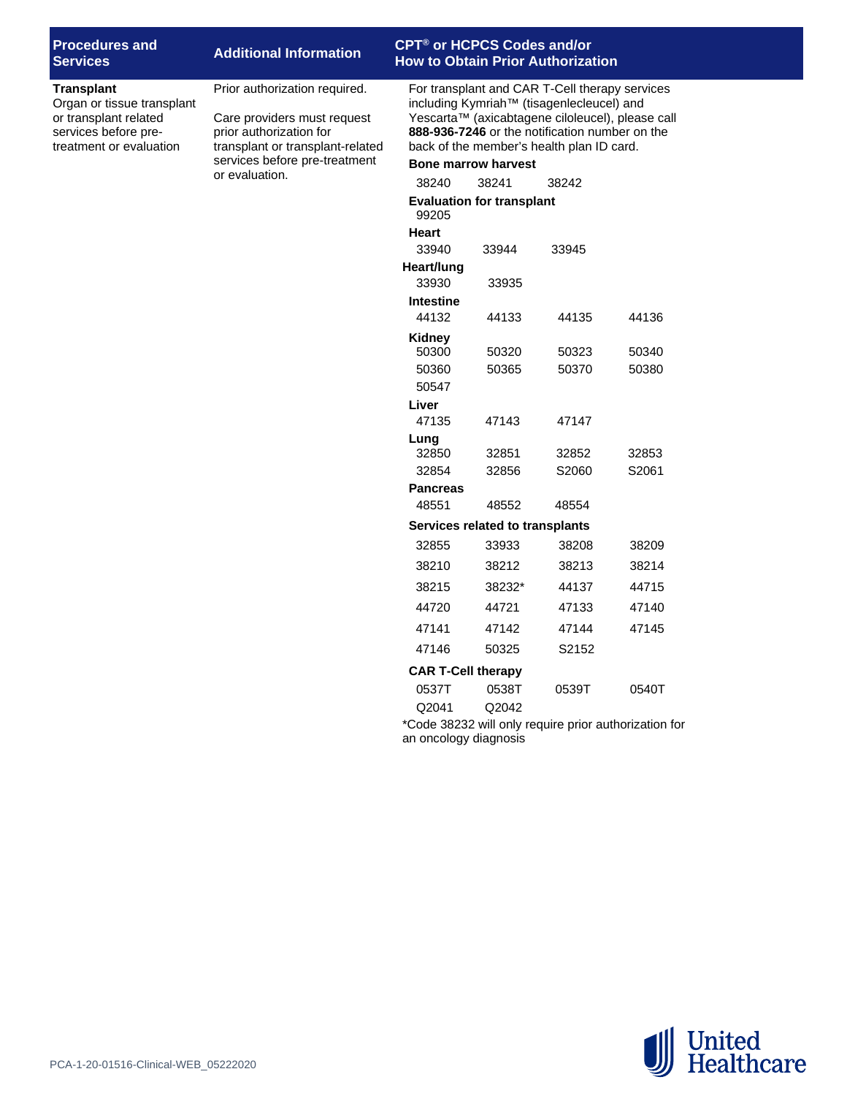| <b>Procedures and</b> |  |
|-----------------------|--|
| <b>Services</b>       |  |

## **Services Additional Information CPT® or HCPCS Codes and/or How to Obtain Prior Authorization**

### **Transplant**

Organ or tissue transplant or transplant related services before pretreatment or evaluation

Prior authorization required.

Care providers must request prior authorization for transplant or transplant-related services before pre-treatment or evaluation.

For transplant and CAR T-Cell therapy services including Kymriah™ (tisagenlecleucel) and Yescarta™ (axicabtagene ciloleucel), please call **888-936-7246** or the notification number on the back of the member's health plan ID card.

## **Bone marrow harvest**

| 38240                 | 38241                            | 38242               |                                |  |  |  |
|-----------------------|----------------------------------|---------------------|--------------------------------|--|--|--|
|                       | <b>Evaluation for transplant</b> |                     |                                |  |  |  |
| 99205                 |                                  |                     |                                |  |  |  |
| <b>Heart</b><br>33940 | 33944                            | 33945               |                                |  |  |  |
| Heart/lung            |                                  |                     |                                |  |  |  |
| 33930                 | 33935                            |                     |                                |  |  |  |
| <b>Intestine</b>      |                                  |                     |                                |  |  |  |
| 44132                 | 44133                            | 44135               | 44136                          |  |  |  |
| Kidney                |                                  |                     |                                |  |  |  |
| 50300                 | 50320                            | 50323               | 50340                          |  |  |  |
| 50360                 | 50365                            | 50370               | 50380                          |  |  |  |
| 50547                 |                                  |                     |                                |  |  |  |
| Liver                 |                                  |                     |                                |  |  |  |
| 47135                 | 47143                            | 47147               |                                |  |  |  |
| Lung                  |                                  |                     |                                |  |  |  |
| 32850                 | 32851                            | 32852               | 32853                          |  |  |  |
| 32854                 | 32856                            | S2060               | S2061                          |  |  |  |
| <b>Pancreas</b>       |                                  |                     |                                |  |  |  |
| 48551                 | 48552                            | 48554               |                                |  |  |  |
|                       | Services related to transplants  |                     |                                |  |  |  |
| 32855                 | 33933                            | 38208               | 38209                          |  |  |  |
| 38210                 | 38212                            | 38213               | 38214                          |  |  |  |
| 38215                 | 38232*                           | 44137               | 44715                          |  |  |  |
| 44720                 | 44721                            | 47133               | 47140                          |  |  |  |
| 47141                 | 47142                            | 47144               | 47145                          |  |  |  |
| 47146                 | 50325                            | S2152               |                                |  |  |  |
|                       | <b>CAR T-Cell therapy</b>        |                     |                                |  |  |  |
| 0537T                 | 0538T                            | 0539T               | 0540T                          |  |  |  |
| Q2041                 | Q2042                            |                     |                                |  |  |  |
|                       | $-1 - 00000$                     | والمستقل والمستعدات | والمترافع والمستلمل والمتناورة |  |  |  |

\*Code 38232 will only require prior authorization for an oncology diagnosis